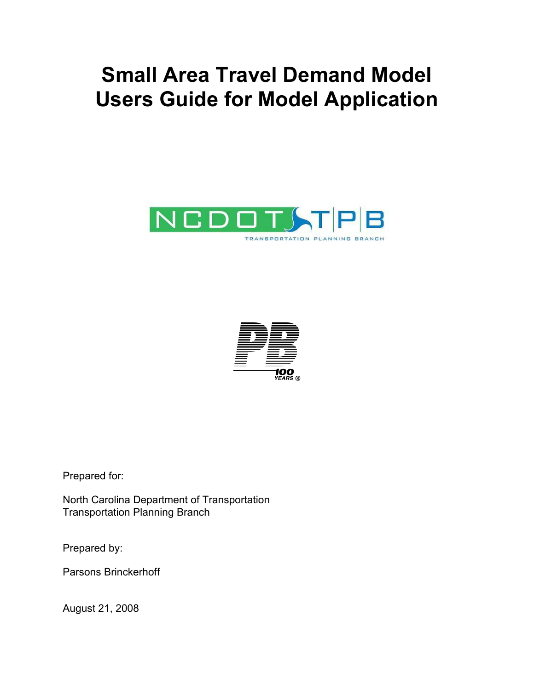# **Small Area Travel Demand Model Users Guide for Model Application**





Prepared for:

North Carolina Department of Transportation Transportation Planning Branch

Prepared by:

Parsons Brinckerhoff

August 21, 2008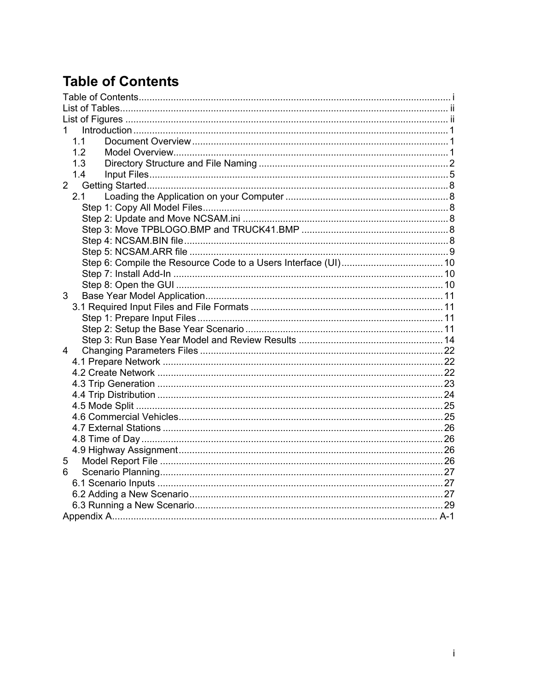# **Table of Contents**

| 1.          |  |
|-------------|--|
| 11          |  |
| 1.2         |  |
| 1.3         |  |
| 1.4         |  |
| $2^{\circ}$ |  |
| 2.1         |  |
|             |  |
|             |  |
|             |  |
|             |  |
|             |  |
|             |  |
|             |  |
|             |  |
| 3           |  |
|             |  |
|             |  |
|             |  |
|             |  |
| 4           |  |
|             |  |
|             |  |
|             |  |
|             |  |
|             |  |
|             |  |
|             |  |
|             |  |
|             |  |
| 5           |  |
| 6           |  |
|             |  |
|             |  |
|             |  |
|             |  |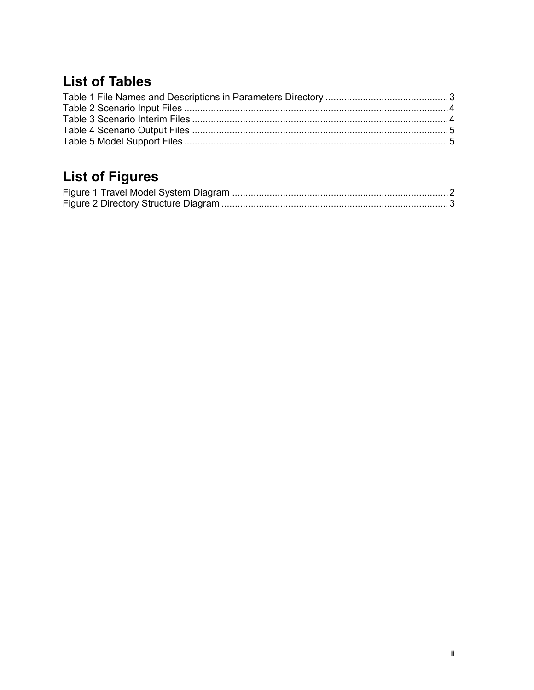# **List of Tables**

# **List of Figures**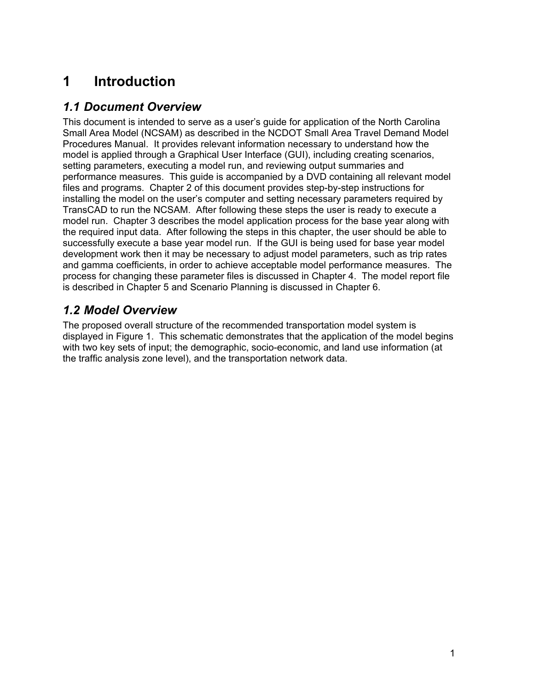# **1 Introduction**

# *1.1 Document Overview*

This document is intended to serve as a user's guide for application of the North Carolina Small Area Model (NCSAM) as described in the NCDOT Small Area Travel Demand Model Procedures Manual. It provides relevant information necessary to understand how the model is applied through a Graphical User Interface (GUI), including creating scenarios, setting parameters, executing a model run, and reviewing output summaries and performance measures. This guide is accompanied by a DVD containing all relevant model files and programs. Chapter 2 of this document provides step-by-step instructions for installing the model on the user's computer and setting necessary parameters required by TransCAD to run the NCSAM. After following these steps the user is ready to execute a model run. Chapter 3 describes the model application process for the base year along with the required input data. After following the steps in this chapter, the user should be able to successfully execute a base year model run. If the GUI is being used for base year model development work then it may be necessary to adjust model parameters, such as trip rates and gamma coefficients, in order to achieve acceptable model performance measures. The process for changing these parameter files is discussed in Chapter 4. The model report file is described in Chapter 5 and Scenario Planning is discussed in Chapter 6.

# *1.2 Model Overview*

The proposed overall structure of the recommended transportation model system is displayed in Figure 1. This schematic demonstrates that the application of the model begins with two key sets of input; the demographic, socio-economic, and land use information (at the traffic analysis zone level), and the transportation network data.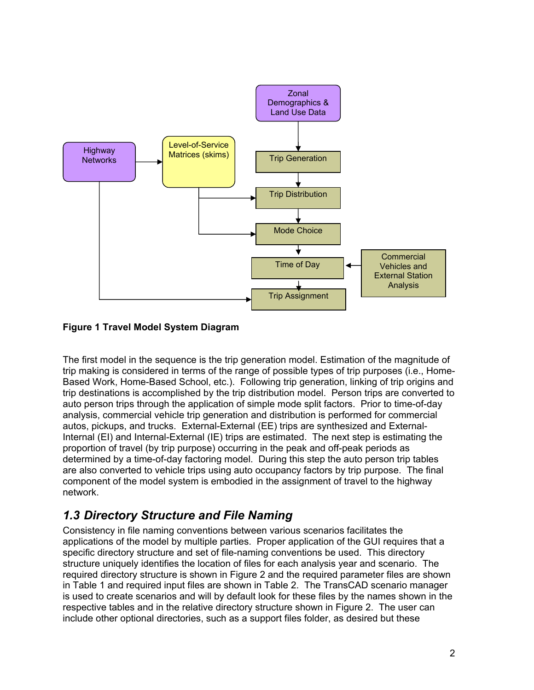

#### **Figure 1 Travel Model System Diagram**

The first model in the sequence is the trip generation model. Estimation of the magnitude of trip making is considered in terms of the range of possible types of trip purposes (i.e., Home-Based Work, Home-Based School, etc.). Following trip generation, linking of trip origins and trip destinations is accomplished by the trip distribution model. Person trips are converted to auto person trips through the application of simple mode split factors. Prior to time-of-day analysis, commercial vehicle trip generation and distribution is performed for commercial autos, pickups, and trucks. External-External (EE) trips are synthesized and External-Internal (EI) and Internal-External (IE) trips are estimated. The next step is estimating the proportion of travel (by trip purpose) occurring in the peak and off-peak periods as determined by a time-of-day factoring model. During this step the auto person trip tables are also converted to vehicle trips using auto occupancy factors by trip purpose. The final component of the model system is embodied in the assignment of travel to the highway network.

# *1.3 Directory Structure and File Naming*

Consistency in file naming conventions between various scenarios facilitates the applications of the model by multiple parties. Proper application of the GUI requires that a specific directory structure and set of file-naming conventions be used. This directory structure uniquely identifies the location of files for each analysis year and scenario. The required directory structure is shown in Figure 2 and the required parameter files are shown in Table 1 and required input files are shown in Table 2. The TransCAD scenario manager is used to create scenarios and will by default look for these files by the names shown in the respective tables and in the relative directory structure shown in Figure 2. The user can include other optional directories, such as a support files folder, as desired but these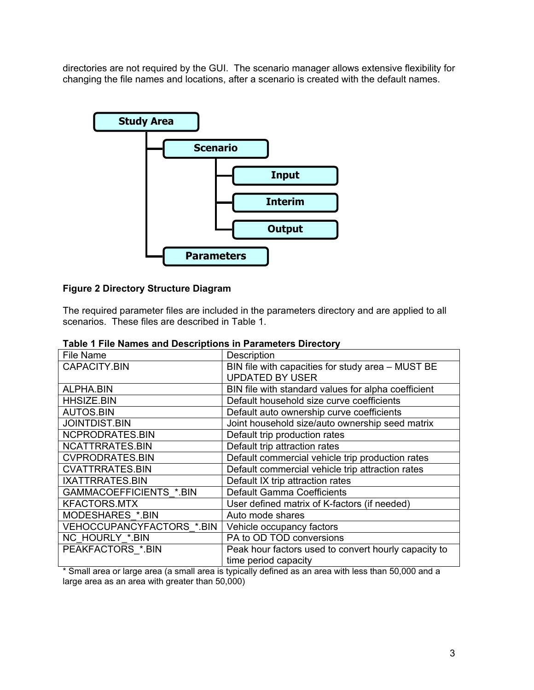directories are not required by the GUI. The scenario manager allows extensive flexibility for changing the file names and locations, after a scenario is created with the default names.



#### **Figure 2 Directory Structure Diagram**

The required parameter files are included in the parameters directory and are applied to all scenarios. These files are described in Table 1.

| File Name                 | Description                                          |
|---------------------------|------------------------------------------------------|
| <b>CAPACITY.BIN</b>       | BIN file with capacities for study area - MUST BE    |
|                           | <b>UPDATED BY USER</b>                               |
| ALPHA.BIN                 | BIN file with standard values for alpha coefficient  |
| <b>HHSIZE.BIN</b>         | Default household size curve coefficients            |
| <b>AUTOS.BIN</b>          | Default auto ownership curve coefficients            |
| <b>JOINTDIST.BIN</b>      | Joint household size/auto ownership seed matrix      |
| NCPRODRATES.BIN           | Default trip production rates                        |
| NCATTRRATES.BIN           | Default trip attraction rates                        |
| <b>CVPRODRATES.BIN</b>    | Default commercial vehicle trip production rates     |
| <b>CVATTRRATES.BIN</b>    | Default commercial vehicle trip attraction rates     |
| IXATTRRATES.BIN           | Default IX trip attraction rates                     |
| GAMMACOEFFICIENTS *.BIN   | <b>Default Gamma Coefficients</b>                    |
| <b>KFACTORS.MTX</b>       | User defined matrix of K-factors (if needed)         |
| MODESHARES *.BIN          | Auto mode shares                                     |
| VEHOCCUPANCYFACTORS *.BIN | Vehicle occupancy factors                            |
| NC HOURLY *.BIN           | PA to OD TOD conversions                             |
| PEAKFACTORS *. BIN        | Peak hour factors used to convert hourly capacity to |
|                           | time period capacity                                 |

#### **Table 1 File Names and Descriptions in Parameters Directory**

\* Small area or large area (a small area is typically defined as an area with less than 50,000 and a large area as an area with greater than 50,000)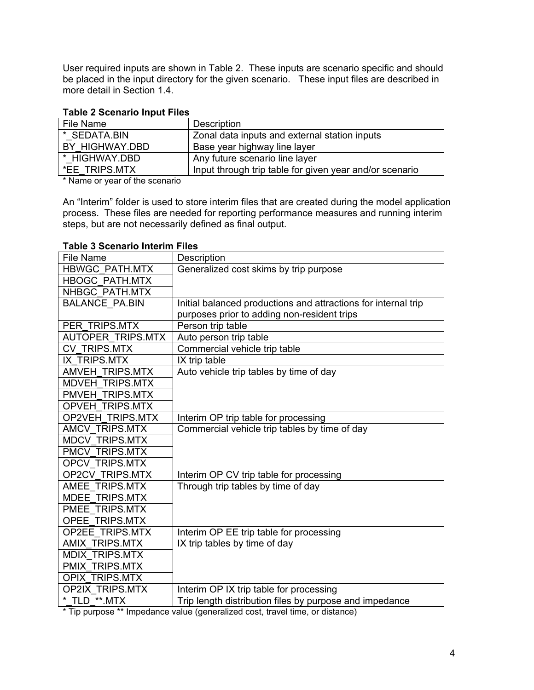User required inputs are shown in Table 2. These inputs are scenario specific and should be placed in the input directory for the given scenario. These input files are described in more detail in Section 1.4.

#### **Table 2 Scenario Input Files**

| File Name      | Description                                             |
|----------------|---------------------------------------------------------|
| * SEDATA.BIN   | Zonal data inputs and external station inputs           |
| BY HIGHWAY.DBD | Base year highway line layer                            |
| * HIGHWAY.DBD  | Any future scenario line layer                          |
| *EE TRIPS.MTX  | Input through trip table for given year and/or scenario |

\* Name or year of the scenario

An "Interim" folder is used to store interim files that are created during the model application process. These files are needed for reporting performance measures and running interim steps, but are not necessarily defined as final output.

| <b>File Name</b>        | Description                                                    |
|-------------------------|----------------------------------------------------------------|
| <b>HBWGC PATH.MTX</b>   | Generalized cost skims by trip purpose                         |
| <b>HBOGC PATH.MTX</b>   |                                                                |
| NHBGC PATH.MTX          |                                                                |
| <b>BALANCE PA.BIN</b>   | Initial balanced productions and attractions for internal trip |
|                         | purposes prior to adding non-resident trips                    |
| PER TRIPS.MTX           | Person trip table                                              |
| AUTOPER TRIPS.MTX       | Auto person trip table                                         |
| <b>CV TRIPS.MTX</b>     | Commercial vehicle trip table                                  |
| IX TRIPS.MTX            | IX trip table                                                  |
| AMVEH TRIPS.MTX         | Auto vehicle trip tables by time of day                        |
| <b>MDVEH TRIPS.MTX</b>  |                                                                |
| PMVEH TRIPS.MTX         |                                                                |
| <b>OPVEH TRIPS.MTX</b>  |                                                                |
| <b>OP2VEH TRIPS.MTX</b> | Interim OP trip table for processing                           |
| AMCV TRIPS.MTX          | Commercial vehicle trip tables by time of day                  |
| <b>MDCV TRIPS.MTX</b>   |                                                                |
| PMCV TRIPS.MTX          |                                                                |
| <b>OPCV TRIPS.MTX</b>   |                                                                |
| <b>OP2CV TRIPS.MTX</b>  | Interim OP CV trip table for processing                        |
| AMEE TRIPS.MTX          | Through trip tables by time of day                             |
| MDEE TRIPS.MTX          |                                                                |
| PMEE TRIPS.MTX          |                                                                |
| <b>OPEE TRIPS.MTX</b>   |                                                                |
| <b>OP2EE TRIPS.MTX</b>  | Interim OP EE trip table for processing                        |
| <b>AMIX TRIPS.MTX</b>   | IX trip tables by time of day                                  |
| <b>MDIX TRIPS.MTX</b>   |                                                                |
| PMIX TRIPS.MTX          |                                                                |
| <b>OPIX TRIPS.MTX</b>   |                                                                |
| <b>OP2IX TRIPS.MTX</b>  | Interim OP IX trip table for processing                        |
| * TLD **.MTX            | Trip length distribution files by purpose and impedance        |

#### **Table 3 Scenario Interim Files**

\* Tip purpose \*\* Impedance value (generalized cost, travel time, or distance)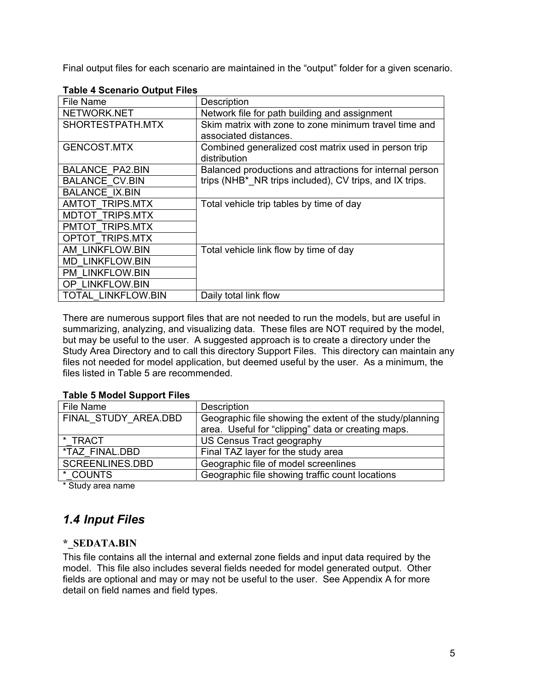Final output files for each scenario are maintained in the "output" folder for a given scenario.

| File Name                 | Description                                                          |
|---------------------------|----------------------------------------------------------------------|
| NETWORK.NET               | Network file for path building and assignment                        |
| SHORTESTPATH.MTX          | Skim matrix with zone to zone minimum travel time and                |
|                           | associated distances.                                                |
| GENCOST.MTX               | Combined generalized cost matrix used in person trip<br>distribution |
| <b>BALANCE PA2.BIN</b>    | Balanced productions and attractions for internal person             |
| <b>BALANCE CV.BIN</b>     | trips (NHB* NR trips included), CV trips, and IX trips.              |
| <b>BALANCE IX.BIN</b>     |                                                                      |
| <b>AMTOT TRIPS.MTX</b>    | Total vehicle trip tables by time of day                             |
| <b>MDTOT TRIPS.MTX</b>    |                                                                      |
| PMTOT TRIPS.MTX           |                                                                      |
| <b>OPTOT TRIPS.MTX</b>    |                                                                      |
| AM LINKFLOW.BIN           | Total vehicle link flow by time of day                               |
| <b>MD LINKFLOW.BIN</b>    |                                                                      |
| <b>PM LINKFLOW.BIN</b>    |                                                                      |
| OP LINKFLOW.BIN           |                                                                      |
| <b>TOTAL LINKFLOW.BIN</b> | Daily total link flow                                                |

#### **Table 4 Scenario Output Files**

There are numerous support files that are not needed to run the models, but are useful in summarizing, analyzing, and visualizing data. These files are NOT required by the model, but may be useful to the user. A suggested approach is to create a directory under the Study Area Directory and to call this directory Support Files. This directory can maintain any files not needed for model application, but deemed useful by the user. As a minimum, the files listed in Table 5 are recommended.

#### **Table 5 Model Support Files**

| File Name              | Description                                              |
|------------------------|----------------------------------------------------------|
| FINAL STUDY AREA.DBD   | Geographic file showing the extent of the study/planning |
|                        | area. Useful for "clipping" data or creating maps.       |
| * TRACT                | US Census Tract geography                                |
| *TAZ FINAL.DBD         | Final TAZ layer for the study area                       |
| <b>SCREENLINES.DBD</b> | Geographic file of model screenlines                     |
| * COUNTS               | Geographic file showing traffic count locations          |
| $\cdots$               |                                                          |

\* Study area name

# *1.4 Input Files*

#### **\*\_SEDATA.BIN**

This file contains all the internal and external zone fields and input data required by the model. This file also includes several fields needed for model generated output. Other fields are optional and may or may not be useful to the user. See Appendix A for more detail on field names and field types.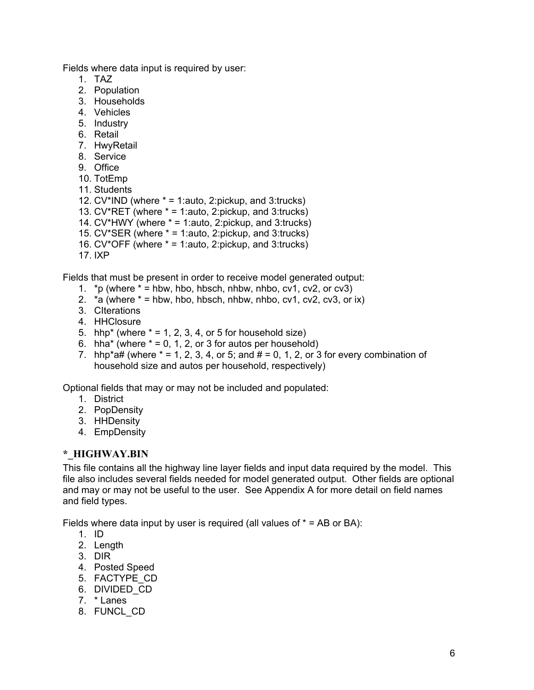Fields where data input is required by user:

- 1. TAZ
- 2. Population
- 3. Households
- 4. Vehicles
- 5. Industry
- 6. Retail
- 7. HwyRetail
- 8. Service
- 9. Office
- 10. TotEmp
- 11. Students
- 12.  $CV^*IND$  (where  $* = 1$ : auto, 2: pickup, and 3: trucks)
- 13.  $CV*RET$  (where  $* = 1$ : auto, 2: pickup, and 3: trucks)
- 14. CV\*HWY (where  $* = 1$ : auto, 2: pickup, and 3: trucks)
- 15. CV\*SER (where \* = 1:auto, 2:pickup, and 3:trucks)
- 16. CV\*OFF (where  $* = 1$ : auto, 2: pickup, and 3: trucks)
- 17. IXP

Fields that must be present in order to receive model generated output:

- 1. \*p (where  $* =$  hbw, hbo, hbsch, nhbw, nhbo, cv1, cv2, or cv3)
- 2.  $*a$  (where  $* = hbw$ , hbo, hbsch, nhbw, nhbo, cv1, cv2, cv3, or ix)
- 3. CIterations
- 4. HHClosure
- 5. hhp<sup>\*</sup> (where  $* = 1, 2, 3, 4$ , or 5 for household size)
- 6. hha\* (where  $* = 0, 1, 2,$  or 3 for autos per household)
- 7. hhp\*a# (where  $* = 1, 2, 3, 4$ , or 5; and  $# = 0, 1, 2$ , or 3 for every combination of household size and autos per household, respectively)

Optional fields that may or may not be included and populated:

- 1. District
- 2. PopDensity
- 3. HHDensity
- 4. EmpDensity

#### **\*\_HIGHWAY.BIN**

This file contains all the highway line layer fields and input data required by the model. This file also includes several fields needed for model generated output. Other fields are optional and may or may not be useful to the user. See Appendix A for more detail on field names and field types.

Fields where data input by user is required (all values of  $* = AB$  or BA):

- 1. ID
- 2. Length
- 3. DIR
- 4. Posted Speed
- 5. FACTYPE\_CD
- 6. DIVIDED\_CD
- 7. \* Lanes
- 8. FUNCL\_CD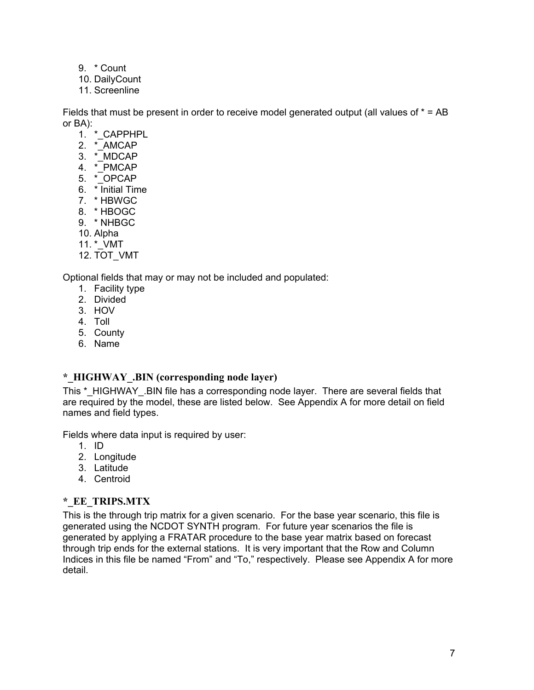- 9. \* Count
- 10. DailyCount
- 11. Screenline

Fields that must be present in order to receive model generated output (all values of  $* = AB$ or BA):

- 1. \* CAPPHPL
- 2. \* AMCAP
- 3. \*\_MDCAP
- 4. \*\_PMCAP
- 5. \*\_OPCAP
- 6. \* Initial Time
- 7. \* HBWGC
- 8. \* HBOGC
- 9. \* NHBGC
- 10. Alpha
- 11. \*\_VMT
- 12. TOT\_VMT

Optional fields that may or may not be included and populated:

- 1. Facility type
- 2. Divided
- 3. HOV
- 4. Toll
- 5. County
- 6. Name

### **\*\_HIGHWAY\_.BIN (corresponding node layer)**

This \* HIGHWAY .BIN file has a corresponding node layer. There are several fields that are required by the model, these are listed below. See Appendix A for more detail on field names and field types.

Fields where data input is required by user:

- 1. ID
- 2. Longitude
- 3. Latitude
- 4. Centroid

### **\*\_EE\_TRIPS.MTX**

This is the through trip matrix for a given scenario. For the base year scenario, this file is generated using the NCDOT SYNTH program. For future year scenarios the file is generated by applying a FRATAR procedure to the base year matrix based on forecast through trip ends for the external stations. It is very important that the Row and Column Indices in this file be named "From" and "To," respectively. Please see Appendix A for more detail.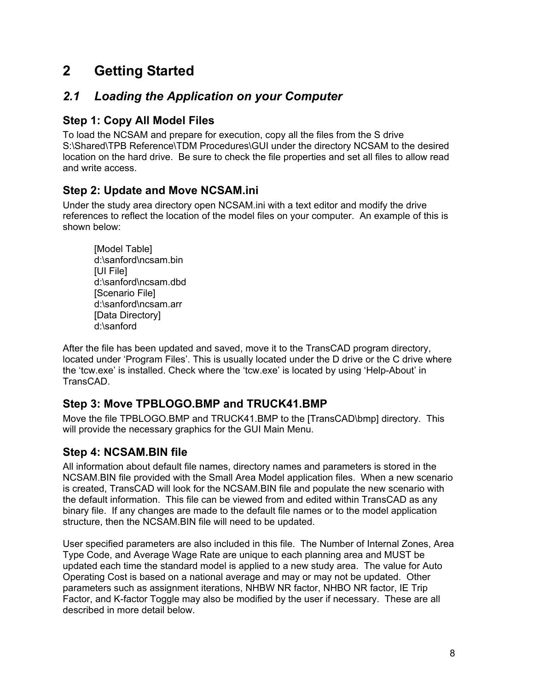# **2 Getting Started**

# *2.1 Loading the Application on your Computer*

## **Step 1: Copy All Model Files**

To load the NCSAM and prepare for execution, copy all the files from the S drive S:\Shared\TPB Reference\TDM Procedures\GUI under the directory NCSAM to the desired location on the hard drive. Be sure to check the file properties and set all files to allow read and write access.

## **Step 2: Update and Move NCSAM.ini**

Under the study area directory open NCSAM.ini with a text editor and modify the drive references to reflect the location of the model files on your computer. An example of this is shown below:

[Model Table] d:\sanford\ncsam.bin [UI File] d:\sanford\ncsam.dbd [Scenario File] d:\sanford\ncsam.arr [Data Directory] d:\sanford

After the file has been updated and saved, move it to the TransCAD program directory, located under 'Program Files'. This is usually located under the D drive or the C drive where the 'tcw.exe' is installed. Check where the 'tcw.exe' is located by using 'Help-About' in TransCAD.

## **Step 3: Move TPBLOGO.BMP and TRUCK41.BMP**

Move the file TPBLOGO.BMP and TRUCK41.BMP to the [TransCAD\bmp] directory. This will provide the necessary graphics for the GUI Main Menu.

# **Step 4: NCSAM.BIN file**

All information about default file names, directory names and parameters is stored in the NCSAM.BIN file provided with the Small Area Model application files. When a new scenario is created, TransCAD will look for the NCSAM.BIN file and populate the new scenario with the default information. This file can be viewed from and edited within TransCAD as any binary file. If any changes are made to the default file names or to the model application structure, then the NCSAM.BIN file will need to be updated.

User specified parameters are also included in this file. The Number of Internal Zones, Area Type Code, and Average Wage Rate are unique to each planning area and MUST be updated each time the standard model is applied to a new study area. The value for Auto Operating Cost is based on a national average and may or may not be updated. Other parameters such as assignment iterations, NHBW NR factor, NHBO NR factor, IE Trip Factor, and K-factor Toggle may also be modified by the user if necessary. These are all described in more detail below.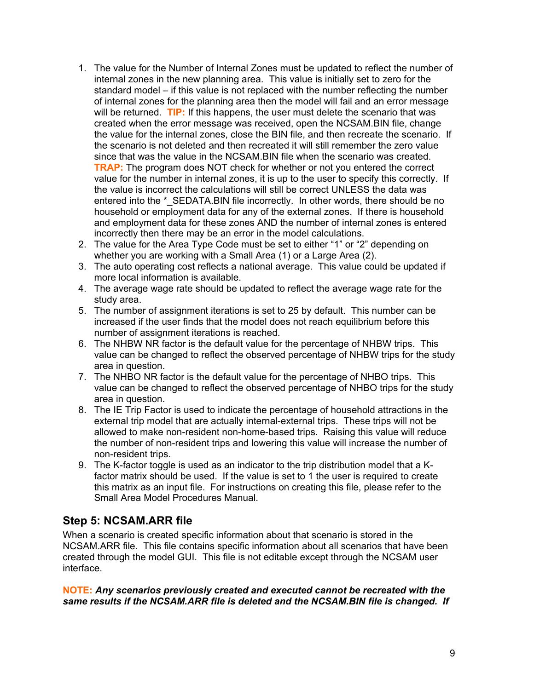- 1. The value for the Number of Internal Zones must be updated to reflect the number of internal zones in the new planning area. This value is initially set to zero for the standard model – if this value is not replaced with the number reflecting the number of internal zones for the planning area then the model will fail and an error message will be returned. **TIP:** If this happens, the user must delete the scenario that was created when the error message was received, open the NCSAM.BIN file, change the value for the internal zones, close the BIN file, and then recreate the scenario. If the scenario is not deleted and then recreated it will still remember the zero value since that was the value in the NCSAM.BIN file when the scenario was created. **TRAP:** The program does NOT check for whether or not you entered the correct value for the number in internal zones, it is up to the user to specify this correctly. If the value is incorrect the calculations will still be correct UNLESS the data was entered into the \* SEDATA.BIN file incorrectly. In other words, there should be no household or employment data for any of the external zones. If there is household and employment data for these zones AND the number of internal zones is entered incorrectly then there may be an error in the model calculations.
- 2. The value for the Area Type Code must be set to either "1" or "2" depending on whether you are working with a Small Area (1) or a Large Area (2).
- 3. The auto operating cost reflects a national average. This value could be updated if more local information is available.
- 4. The average wage rate should be updated to reflect the average wage rate for the study area.
- 5. The number of assignment iterations is set to 25 by default. This number can be increased if the user finds that the model does not reach equilibrium before this number of assignment iterations is reached.
- 6. The NHBW NR factor is the default value for the percentage of NHBW trips. This value can be changed to reflect the observed percentage of NHBW trips for the study area in question.
- 7. The NHBO NR factor is the default value for the percentage of NHBO trips. This value can be changed to reflect the observed percentage of NHBO trips for the study area in question.
- 8. The IE Trip Factor is used to indicate the percentage of household attractions in the external trip model that are actually internal-external trips. These trips will not be allowed to make non-resident non-home-based trips. Raising this value will reduce the number of non-resident trips and lowering this value will increase the number of non-resident trips.
- 9. The K-factor toggle is used as an indicator to the trip distribution model that a Kfactor matrix should be used. If the value is set to 1 the user is required to create this matrix as an input file. For instructions on creating this file, please refer to the Small Area Model Procedures Manual.

## **Step 5: NCSAM.ARR file**

When a scenario is created specific information about that scenario is stored in the NCSAM.ARR file. This file contains specific information about all scenarios that have been created through the model GUI. This file is not editable except through the NCSAM user interface.

**NOTE:** *Any scenarios previously created and executed cannot be recreated with the same results if the NCSAM.ARR file is deleted and the NCSAM.BIN file is changed. If*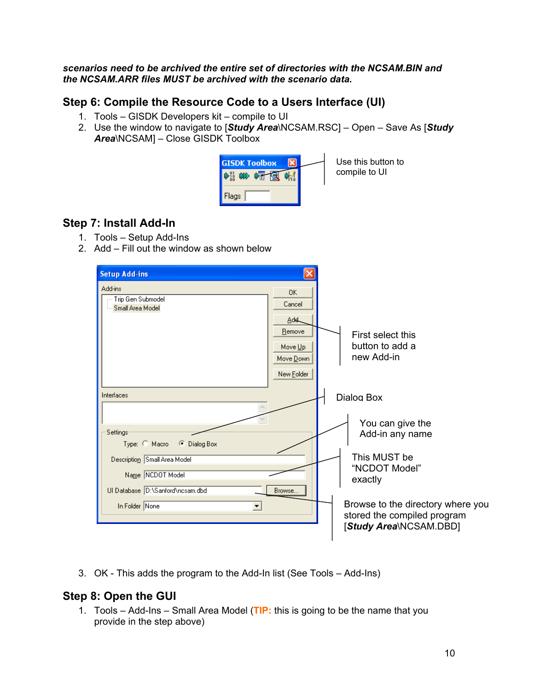#### *scenarios need to be archived the entire set of directories with the NCSAM.BIN and the NCSAM.ARR files MUST be archived with the scenario data.*

#### **Step 6: Compile the Resource Code to a Users Interface (UI)**

- 1. Tools GISDK Developers kit compile to UI
- 2. Use the window to navigate to [*Study Area*\NCSAM.RSC] Open Save As [*Study Area*\NCSAM] – Close GISDK Toolbox



Use this button to compile to UI

## **Step 7: Install Add-In**

- 1. Tools Setup Add-Ins
- 2. Add Fill out the window as shown below

| <b>Setup Add-ins</b>                                                                                                                                                        |                                                                             |                                                                                                                                                                               |
|-----------------------------------------------------------------------------------------------------------------------------------------------------------------------------|-----------------------------------------------------------------------------|-------------------------------------------------------------------------------------------------------------------------------------------------------------------------------|
| Add-ins<br>Trip Gen Submodel<br>Small Area Model                                                                                                                            | <b>OK</b><br>Cancel<br>Add.<br>Remove<br>Move Up<br>Move Down<br>New Folder | First select this<br>button to add a<br>new Add-in                                                                                                                            |
| Interfaces                                                                                                                                                                  |                                                                             | Dialog Box                                                                                                                                                                    |
| Settings<br>Type: C Macro<br>C Dialog Box<br>Description Small Area Model<br>Name NCDOT Model<br>UI Database D:\Sanford\ncsam.dbd<br>In Folder None<br>$\blacktriangledown$ | Browse                                                                      | You can give the<br>Add-in any name<br>This MUST be<br>"NCDOT Model"<br>exactly<br>Browse to the directory where you<br>stored the compiled program<br>[Study Area\NCSAM.DBD] |

3. OK - This adds the program to the Add-In list (See Tools – Add-Ins)

## **Step 8: Open the GUI**

1. Tools – Add-Ins – Small Area Model (**TIP:** this is going to be the name that you provide in the step above)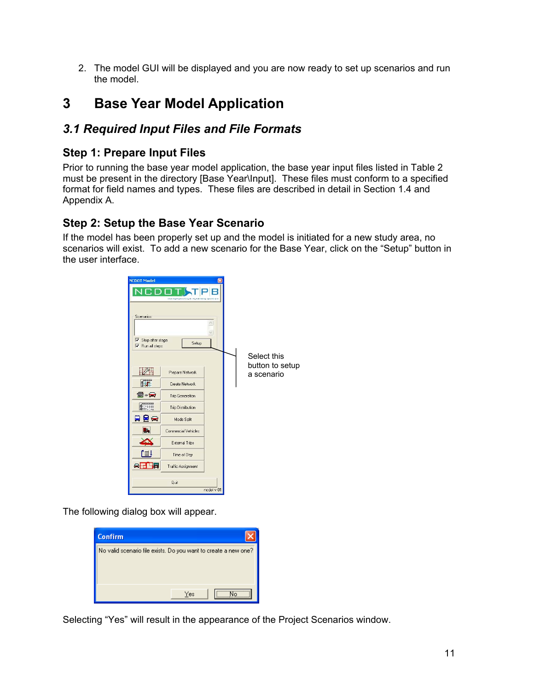2. The model GUI will be displayed and you are now ready to set up scenarios and run the model.

# **3 Base Year Model Application**

# *3.1 Required Input Files and File Formats*

## **Step 1: Prepare Input Files**

Prior to running the base year model application, the base year input files listed in Table 2 must be present in the directory [Base Year\Input]. These files must conform to a specified format for field names and types. These files are described in detail in Section 1.4 and Appendix A.

## **Step 2: Setup the Base Year Scenario**

If the model has been properly set up and the model is initiated for a new study area, no scenarios will exist. To add a new scenario for the Base Year, click on the "Setup" button in the user interface.



The following dialog box will appear.



Selecting "Yes" will result in the appearance of the Project Scenarios window.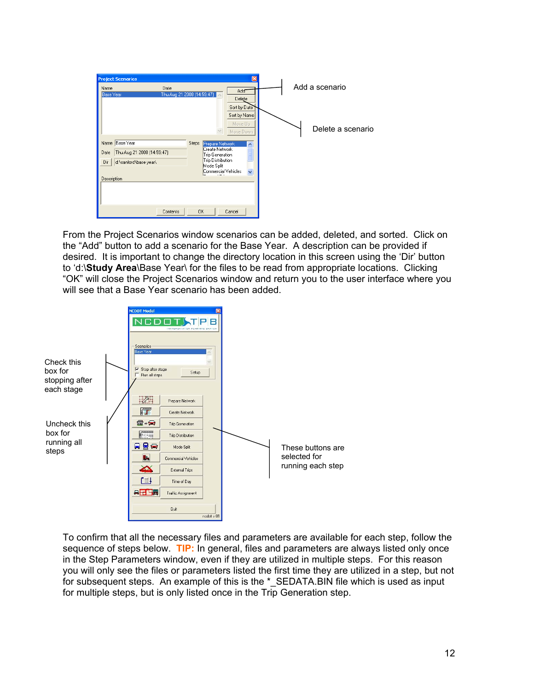| <b>Project Scenarios</b><br>Date<br>Name<br>Base Year   | 図<br>Add <sup>-</sup><br>Thu Aug 21 2008 (14:59:47)<br>Delete<br>Sort by Date                                                     | Add a scenario    |
|---------------------------------------------------------|-----------------------------------------------------------------------------------------------------------------------------------|-------------------|
| Name Base Year<br>Thu Aug 21 2008 (14:59:47)<br>Date    | Sort by Name<br>Move Up<br>Move Down<br>Steps<br>Prepare Network<br>$\overline{\phantom{a}}$<br>Create Network<br>Trip Generation | Delete a scenario |
| d:\sanford\base year\<br>Dir<br>Description<br>Contents | Trip Distribution<br>Mode Split<br>Commercial Vehicles<br><b>OK</b><br>Cancel                                                     |                   |

From the Project Scenarios window scenarios can be added, deleted, and sorted. Click on the "Add" button to add a scenario for the Base Year. A description can be provided if desired. It is important to change the directory location in this screen using the 'Dir' button to 'd:\**Study Area**\Base Year\ for the files to be read from appropriate locations. Clicking "OK" will close the Project Scenarios window and return you to the user interface where you will see that a Base Year scenario has been added.



To confirm that all the necessary files and parameters are available for each step, follow the sequence of steps below. **TIP:** In general, files and parameters are always listed only once in the Step Parameters window, even if they are utilized in multiple steps. For this reason you will only see the files or parameters listed the first time they are utilized in a step, but not for subsequent steps. An example of this is the \* SEDATA.BIN file which is used as input for multiple steps, but is only listed once in the Trip Generation step.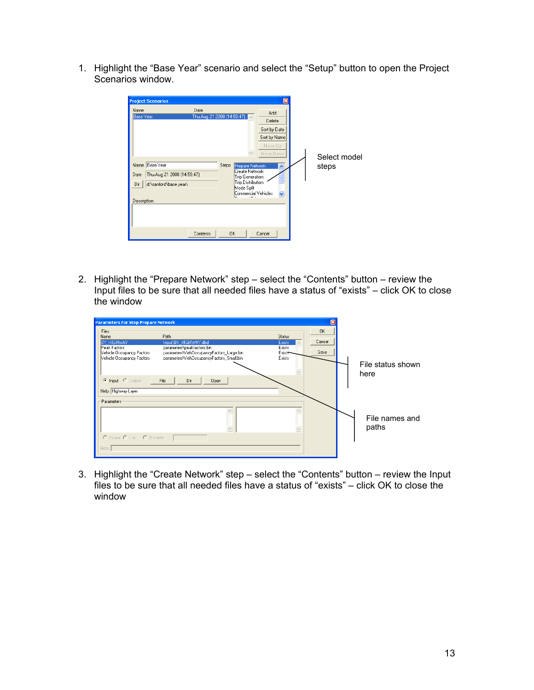1. Highlight the "Base Year" scenario and select the "Setup" button to open the Project Scenarios window.

| <b>Project Scenarios</b><br>Name<br><b>Base Year</b>                     | Date<br>Thu Aug 21 2008 (14:59:47) |                                                                                                                         | ⊠<br>Add<br>Delete<br>Sort by Date<br>Sort by Name<br>Move Up<br>Move Down | Select model |
|--------------------------------------------------------------------------|------------------------------------|-------------------------------------------------------------------------------------------------------------------------|----------------------------------------------------------------------------|--------------|
| Base Year<br>Name<br>Date<br>Dir<br>d:\sanford\base year\<br>Description | Thu Aug 21 2008 (14:59:47)         | Steps<br>Prepare Network<br>Create Network<br>Trip Generation<br>Trip Distribution<br>Mode Split<br>Commercial Vehicles |                                                                            | steps        |
|                                                                          | Contents                           | <b>OK</b>                                                                                                               | Cancel                                                                     |              |

2. Highlight the "Prepare Network" step – select the "Contents" button – review the Input files to be sure that all needed files have a status of "exists" – click OK to close the window

| <b>Parameters For Step Prepare Network</b>                                                                                                                                                                                                                                                             |                                                        |                             |                           |
|--------------------------------------------------------------------------------------------------------------------------------------------------------------------------------------------------------------------------------------------------------------------------------------------------------|--------------------------------------------------------|-----------------------------|---------------------------|
| Files<br>Path<br>Name<br>BY HIGHWAY<br>Input\BY_HIGHWAY.dbd<br>Peak Factors<br>parameters\peakfactors.bin<br>Vehicle Occupancy Factors<br>parameters\Veh0ccupancyFactors_Large.bin<br>Vehicle Occupancy Factors<br>parameters\Veh0ccupancyFactors_Small.bin<br>C Input C Output<br>File<br>Dir<br>Open | Status<br><b>Exists</b><br>Exists<br>Exists-<br>Exists | <b>OK</b><br>Cancel<br>Save | File status shown<br>here |
| Help Highway Layer<br>Parameters<br>C Scalar C List C Discrete<br>Help                                                                                                                                                                                                                                 |                                                        |                             | File names and<br>paths   |

3. Highlight the "Create Network" step – select the "Contents" button – review the Input files to be sure that all needed files have a status of "exists" – click OK to close the window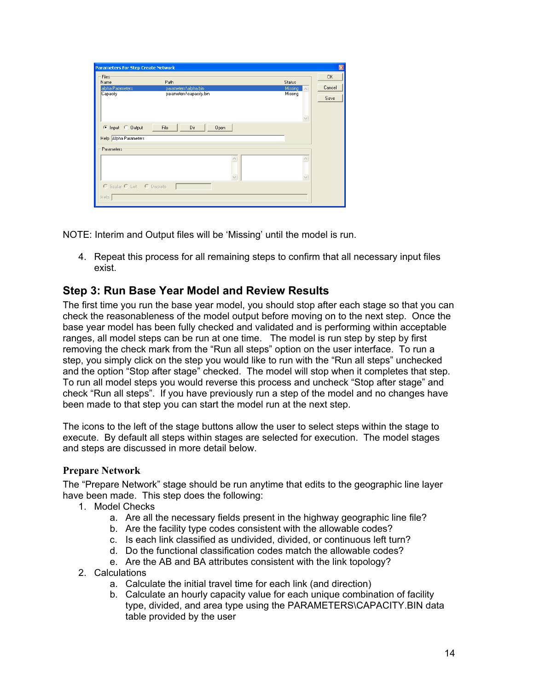| Files                 |                         |         | <b>OK</b> |
|-----------------------|-------------------------|---------|-----------|
| Name                  | Path                    | Status  |           |
| alpha Parameters      | parameters\alpha.bin    | Missing | Cancel    |
| Capacity              | parameters\capacity.bin | Missing | Save      |
|                       |                         |         |           |
|                       |                         |         |           |
| C Input C Output      | Open                    |         |           |
| Help Alpha Parameters |                         |         |           |
| Parameters            |                         |         |           |
|                       |                         |         |           |
|                       |                         |         |           |

NOTE: Interim and Output files will be 'Missing' until the model is run.

4. Repeat this process for all remaining steps to confirm that all necessary input files exist.

## **Step 3: Run Base Year Model and Review Results**

The first time you run the base year model, you should stop after each stage so that you can check the reasonableness of the model output before moving on to the next step. Once the base year model has been fully checked and validated and is performing within acceptable ranges, all model steps can be run at one time. The model is run step by step by first removing the check mark from the "Run all steps" option on the user interface. To run a step, you simply click on the step you would like to run with the "Run all steps" unchecked and the option "Stop after stage" checked. The model will stop when it completes that step. To run all model steps you would reverse this process and uncheck "Stop after stage" and check "Run all steps". If you have previously run a step of the model and no changes have been made to that step you can start the model run at the next step.

The icons to the left of the stage buttons allow the user to select steps within the stage to execute. By default all steps within stages are selected for execution. The model stages and steps are discussed in more detail below.

#### **Prepare Network**

The "Prepare Network" stage should be run anytime that edits to the geographic line layer have been made. This step does the following:

- 1. Model Checks
	- a. Are all the necessary fields present in the highway geographic line file?
	- b. Are the facility type codes consistent with the allowable codes?
	- c. Is each link classified as undivided, divided, or continuous left turn?
	- d. Do the functional classification codes match the allowable codes?
	- e. Are the AB and BA attributes consistent with the link topology?
- 2. Calculations
	- a. Calculate the initial travel time for each link (and direction)
	- b. Calculate an hourly capacity value for each unique combination of facility type, divided, and area type using the PARAMETERS\CAPACITY.BIN data table provided by the user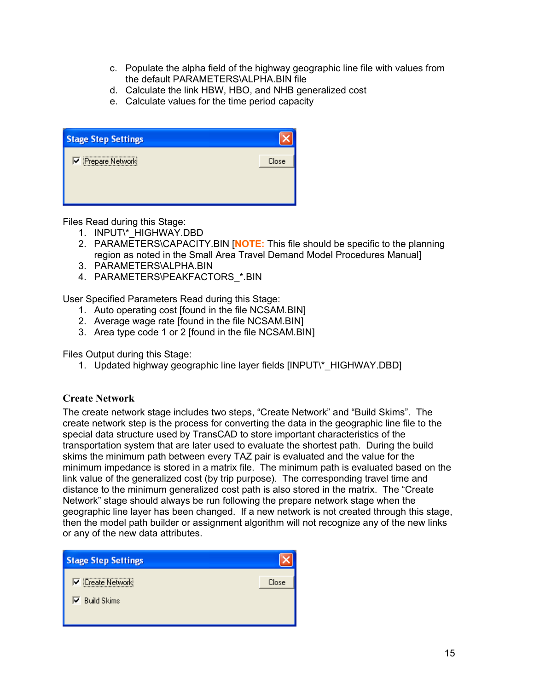- c. Populate the alpha field of the highway geographic line file with values from the default PARAMETERS\ALPHA.BIN file
- d. Calculate the link HBW, HBO, and NHB generalized cost
- e. Calculate values for the time period capacity

| <b>Stage Step Settings</b> |       |
|----------------------------|-------|
| Prepare Network            | Close |
|                            |       |
|                            |       |

Files Read during this Stage:

- 1. INPUT\\*\_HIGHWAY.DBD
- 2. PARAMETERS\CAPACITY.BIN [**NOTE:** This file should be specific to the planning region as noted in the Small Area Travel Demand Model Procedures Manual]
- 3. PARAMETERS\ALPHA.BIN
- 4. PARAMETERS\PEAKFACTORS\_\*.BIN

User Specified Parameters Read during this Stage:

- 1. Auto operating cost [found in the file NCSAM.BIN]
- 2. Average wage rate [found in the file NCSAM.BIN]
- 3. Area type code 1 or 2 [found in the file NCSAM.BIN]

Files Output during this Stage:

1. Updated highway geographic line layer fields [INPUT\\*\_HIGHWAY.DBD]

#### **Create Network**

The create network stage includes two steps, "Create Network" and "Build Skims". The create network step is the process for converting the data in the geographic line file to the special data structure used by TransCAD to store important characteristics of the transportation system that are later used to evaluate the shortest path. During the build skims the minimum path between every TAZ pair is evaluated and the value for the minimum impedance is stored in a matrix file. The minimum path is evaluated based on the link value of the generalized cost (by trip purpose). The corresponding travel time and distance to the minimum generalized cost path is also stored in the matrix. The "Create Network" stage should always be run following the prepare network stage when the geographic line layer has been changed. If a new network is not created through this stage, then the model path builder or assignment algorithm will not recognize any of the new links or any of the new data attributes.

| <b>Stage Step Settings</b> |       |
|----------------------------|-------|
| Create Network             | Close |
| $\nabla$ Build Skims       |       |
|                            |       |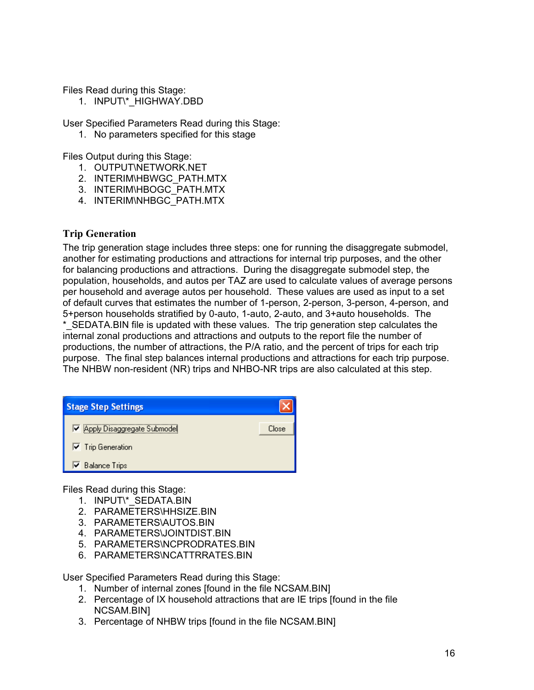Files Read during this Stage:

1. INPUT\\*\_HIGHWAY.DBD

User Specified Parameters Read during this Stage:

1. No parameters specified for this stage

Files Output during this Stage:

- 1. OUTPUT\NETWORK.NET
- 2. INTERIM\HBWGC\_PATH.MTX
- 3. INTERIM\HBOGC\_PATH.MTX
- 4. INTERIM\NHBGC\_PATH.MTX

#### **Trip Generation**

The trip generation stage includes three steps: one for running the disaggregate submodel, another for estimating productions and attractions for internal trip purposes, and the other for balancing productions and attractions. During the disaggregate submodel step, the population, households, and autos per TAZ are used to calculate values of average persons per household and average autos per household. These values are used as input to a set of default curves that estimates the number of 1-person, 2-person, 3-person, 4-person, and 5+person households stratified by 0-auto, 1-auto, 2-auto, and 3+auto households. The \*\_SEDATA.BIN file is updated with these values. The trip generation step calculates the internal zonal productions and attractions and outputs to the report file the number of productions, the number of attractions, the P/A ratio, and the percent of trips for each trip purpose. The final step balances internal productions and attractions for each trip purpose. The NHBW non-resident (NR) trips and NHBO-NR trips are also calculated at this step.

| <b>Stage Step Settings</b>                 |       |
|--------------------------------------------|-------|
| Ø Apply Disaggregate Submodel              | Close |
| $\overline{\triangledown}$ Trip Generation |       |
| <b>▽</b> Balance Trips                     |       |

Files Read during this Stage:

- 1. INPUT\\*\_SEDATA.BIN
- 2. PARAMETERS\HHSIZE.BIN
- 3. PARAMETERS\AUTOS.BIN
- 4. PARAMETERS\JOINTDIST.BIN
- 5. PARAMETERS\NCPRODRATES.BIN
- 6. PARAMETERS\NCATTRRATES.BIN

User Specified Parameters Read during this Stage:

- 1. Number of internal zones [found in the file NCSAM.BIN]
- 2. Percentage of IX household attractions that are IE trips [found in the file NCSAM.BIN]
- 3. Percentage of NHBW trips [found in the file NCSAM.BIN]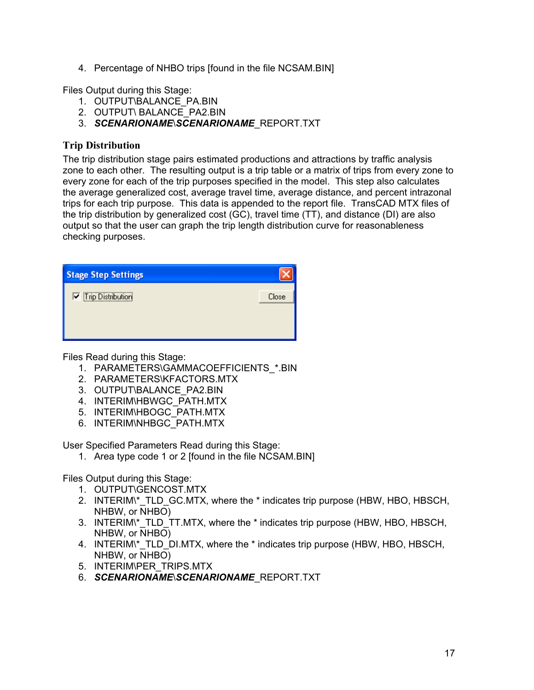4. Percentage of NHBO trips [found in the file NCSAM.BIN]

Files Output during this Stage:

- 1. OUTPUT\BALANCE\_PA.BIN
- 2. OUTPUT\ BALANCE\_PA2.BIN
- 3. *SCENARIONAME*\*SCENARIONAME*\_REPORT.TXT

#### **Trip Distribution**

The trip distribution stage pairs estimated productions and attractions by traffic analysis zone to each other. The resulting output is a trip table or a matrix of trips from every zone to every zone for each of the trip purposes specified in the model. This step also calculates the average generalized cost, average travel time, average distance, and percent intrazonal trips for each trip purpose. This data is appended to the report file. TransCAD MTX files of the trip distribution by generalized cost (GC), travel time (TT), and distance (DI) are also output so that the user can graph the trip length distribution curve for reasonableness checking purposes.

| <b>Stage Step Settings</b> |       |
|----------------------------|-------|
| <b>V</b> Trip Distribution | Close |
|                            |       |
|                            |       |

Files Read during this Stage:

- 1. PARAMETERS\GAMMACOEFFICIENTS\_\*.BIN
- 2. PARAMETERS\KFACTORS.MTX
- 3. OUTPUT\BALANCE\_PA2.BIN
- 4. INTERIM\HBWGC\_PATH.MTX
- 5. INTERIM\HBOGC\_PATH.MTX
- 6. INTERIM\NHBGC\_PATH.MTX

User Specified Parameters Read during this Stage:

1. Area type code 1 or 2 [found in the file NCSAM.BIN]

Files Output during this Stage:

- 1. OUTPUT\GENCOST.MTX
- 2. INTERIM<sup>\*</sup> TLD GC.MTX, where the \* indicates trip purpose (HBW, HBO, HBSCH, NHBW, or NHBO)
- 3. INTERIM\\*\_TLD\_TT.MTX, where the \* indicates trip purpose (HBW, HBO, HBSCH, NHBW, or NHBO)
- 4. INTERIM<sup>\*</sup> TLD DI.MTX, where the \* indicates trip purpose (HBW, HBO, HBSCH, NHBW, or NHBO)
- 5. INTERIM\PER\_TRIPS.MTX
- 6. *SCENARIONAME*\*SCENARIONAME*\_REPORT.TXT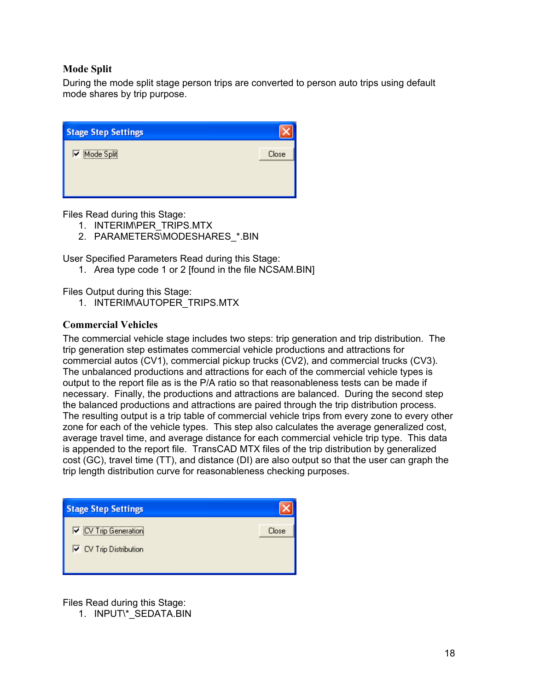#### **Mode Split**

During the mode split stage person trips are converted to person auto trips using default mode shares by trip purpose.

| <b>Stage Step Settings</b> |       |
|----------------------------|-------|
| Mode Split                 | Close |
|                            |       |
|                            |       |

Files Read during this Stage:

- 1. INTERIM\PER\_TRIPS.MTX
- 2. PARAMETERS\MODESHARES \*.BIN

User Specified Parameters Read during this Stage:

1. Area type code 1 or 2 [found in the file NCSAM.BIN]

Files Output during this Stage:

1. INTERIM\AUTOPER\_TRIPS.MTX

#### **Commercial Vehicles**

The commercial vehicle stage includes two steps: trip generation and trip distribution. The trip generation step estimates commercial vehicle productions and attractions for commercial autos (CV1), commercial pickup trucks (CV2), and commercial trucks (CV3). The unbalanced productions and attractions for each of the commercial vehicle types is output to the report file as is the P/A ratio so that reasonableness tests can be made if necessary. Finally, the productions and attractions are balanced. During the second step the balanced productions and attractions are paired through the trip distribution process. The resulting output is a trip table of commercial vehicle trips from every zone to every other zone for each of the vehicle types. This step also calculates the average generalized cost, average travel time, and average distance for each commercial vehicle trip type. This data is appended to the report file. TransCAD MTX files of the trip distribution by generalized cost (GC), travel time (TT), and distance (DI) are also output so that the user can graph the trip length distribution curve for reasonableness checking purposes.

| <b>Stage Step Settings</b>                      |       |
|-------------------------------------------------|-------|
| V CV Trip Generation                            | Close |
| $\overline{\triangledown}$ CV Trip Distribution |       |
|                                                 |       |

Files Read during this Stage:

1. INPUT\\*\_SEDATA.BIN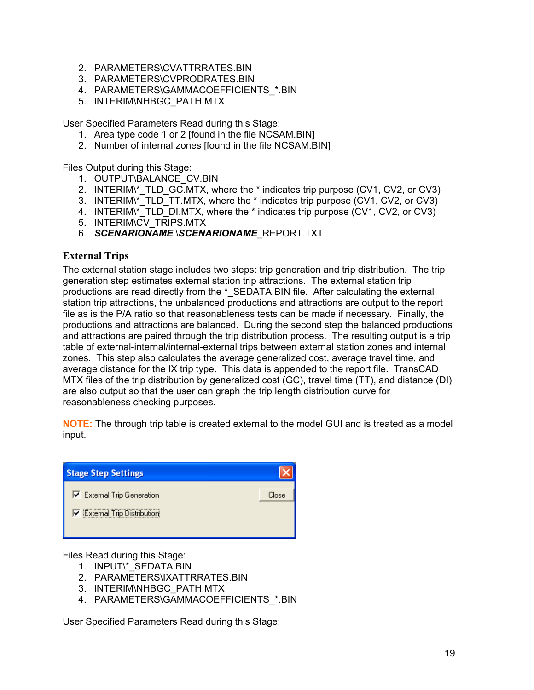- 2. PARAMETERS\CVATTRRATES.BIN
- 3. PARAMETERS\CVPRODRATES.BIN
- 4. PARAMETERS\GAMMACOEFFICIENTS\_\*.BIN
- 5. INTERIM\NHBGC\_PATH.MTX

User Specified Parameters Read during this Stage:

- 1. Area type code 1 or 2 [found in the file NCSAM.BIN]
- 2. Number of internal zones [found in the file NCSAM.BIN]

Files Output during this Stage:

- 1. OUTPUT\BALANCE\_CV.BIN
- 2. INTERIM\\*\_TLD\_GC.MTX, where the \* indicates trip purpose (CV1, CV2, or CV3)
- 3. INTERIM\\*\_TLD\_TT.MTX, where the \* indicates trip purpose (CV1, CV2, or CV3)
- 4. INTERIM\\*\_TLD\_DI.MTX, where the \* indicates trip purpose (CV1, CV2, or CV3)
- 5. INTERIM\CV\_TRIPS.MTX
- 6. *SCENARIONAME* \*SCENARIONAME*\_REPORT.TXT

#### **External Trips**

The external station stage includes two steps: trip generation and trip distribution. The trip generation step estimates external station trip attractions. The external station trip productions are read directly from the \* SEDATA.BIN file. After calculating the external station trip attractions, the unbalanced productions and attractions are output to the report file as is the P/A ratio so that reasonableness tests can be made if necessary. Finally, the productions and attractions are balanced. During the second step the balanced productions and attractions are paired through the trip distribution process. The resulting output is a trip table of external-internal/internal-external trips between external station zones and internal zones. This step also calculates the average generalized cost, average travel time, and average distance for the IX trip type. This data is appended to the report file. TransCAD MTX files of the trip distribution by generalized cost (GC), travel time (TT), and distance (DI) are also output so that the user can graph the trip length distribution curve for reasonableness checking purposes.

**NOTE:** The through trip table is created external to the model GUI and is treated as a model input.

| <b>Stage Step Settings</b> |       |
|----------------------------|-------|
| External Trip Generation   | Close |
| External Trip Distribution |       |
|                            |       |

Files Read during this Stage:

- 1. INPUT\\*\_SEDATA.BIN
- 2. PARAMETERS\IXATTRRATES.BIN
- 3. INTERIM\NHBGC\_PATH.MTX
- 4. PARAMETERS\GAMMACOEFFICIENTS\_\*.BIN

User Specified Parameters Read during this Stage: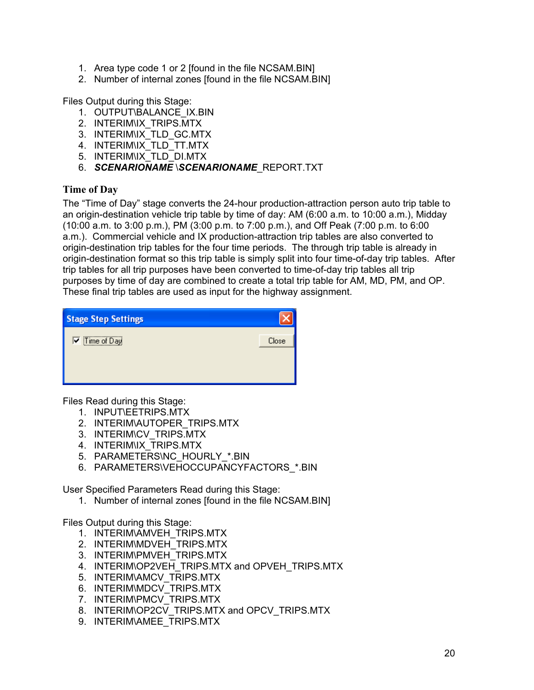- 1. Area type code 1 or 2 [found in the file NCSAM.BIN]
- 2. Number of internal zones [found in the file NCSAM.BIN]

Files Output during this Stage:

- 1. OUTPUT\BALANCE\_IX.BIN
- 2. INTERIM\IX\_TRIPS.MTX
- 3. INTERIM\IX\_TLD\_GC.MTX
- 4. INTERIM\IX\_TLD\_TT.MTX
- 5. INTERIM\IX\_TLD\_DI.MTX
- 6. *SCENARIONAME* \*SCENARIONAME*\_REPORT.TXT

#### **Time of Day**

The "Time of Day" stage converts the 24-hour production-attraction person auto trip table to an origin-destination vehicle trip table by time of day: AM (6:00 a.m. to 10:00 a.m.), Midday (10:00 a.m. to 3:00 p.m.), PM (3:00 p.m. to 7:00 p.m.), and Off Peak (7:00 p.m. to 6:00 a.m.). Commercial vehicle and IX production-attraction trip tables are also converted to origin-destination trip tables for the four time periods. The through trip table is already in origin-destination format so this trip table is simply split into four time-of-day trip tables. After trip tables for all trip purposes have been converted to time-of-day trip tables all trip purposes by time of day are combined to create a total trip table for AM, MD, PM, and OP. These final trip tables are used as input for the highway assignment.

| <b>Stage Step Settings</b> |       |
|----------------------------|-------|
| $\nabla$ Time of Day       | Close |
|                            |       |
|                            |       |

Files Read during this Stage:

- 1. INPUT\EETRIPS.MTX
- 2. INTERIM\AUTOPER\_TRIPS.MTX
- 3. INTERIM\CV\_TRIPS.MTX
- 4. INTERIM\IX\_TRIPS.MTX
- 5. PARAMETERS\NC\_HOURLY\_\*.BIN
- 6. PARAMETERS\VEHOCCUPANCYFACTORS\_\*.BIN

User Specified Parameters Read during this Stage:

1. Number of internal zones [found in the file NCSAM.BIN]

#### Files Output during this Stage:

- 1. INTERIM\AMVEH\_TRIPS.MTX
- 2. INTERIM\MDVEH\_TRIPS.MTX
- 3. INTERIM\PMVEH\_TRIPS.MTX
- 4. INTERIM\OP2VEH\_TRIPS.MTX and OPVEH\_TRIPS.MTX
- 5. INTERIM\AMCV\_TRIPS.MTX
- 6. INTERIM\MDCV\_TRIPS.MTX
- 7. INTERIM\PMCV\_TRIPS.MTX
- 8. INTERIM\OP2CV\_TRIPS.MTX and OPCV\_TRIPS.MTX
- 9. INTERIM\AMEE\_TRIPS.MTX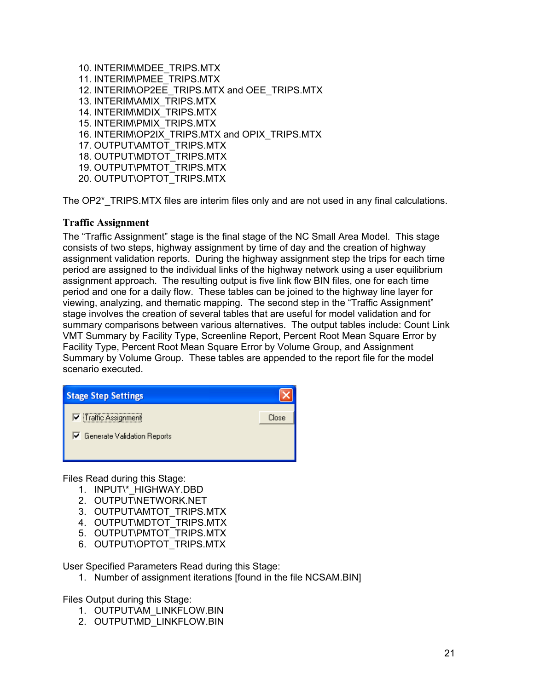10. INTERIM\MDEE\_TRIPS.MTX 11. INTERIM\PMEE\_TRIPS.MTX 12. INTERIM\OP2EE\_TRIPS.MTX and OEE\_TRIPS.MTX 13. INTERIM\AMIX\_TRIPS.MTX 14. INTERIM\MDIX\_TRIPS.MTX 15. INTERIM\PMIX\_TRIPS.MTX 16. INTERIM\OP2IX\_TRIPS.MTX and OPIX\_TRIPS.MTX 17. OUTPUT\AMTOT\_TRIPS.MTX 18. OUTPUT\MDTOT\_TRIPS.MTX 19. OUTPUT\PMTOT\_TRIPS.MTX

20. OUTPUT\OPTOT\_TRIPS.MTX

The OP2\*\_TRIPS.MTX files are interim files only and are not used in any final calculations.

#### **Traffic Assignment**

The "Traffic Assignment" stage is the final stage of the NC Small Area Model. This stage consists of two steps, highway assignment by time of day and the creation of highway assignment validation reports. During the highway assignment step the trips for each time period are assigned to the individual links of the highway network using a user equilibrium assignment approach. The resulting output is five link flow BIN files, one for each time period and one for a daily flow. These tables can be joined to the highway line layer for viewing, analyzing, and thematic mapping. The second step in the "Traffic Assignment" stage involves the creation of several tables that are useful for model validation and for summary comparisons between various alternatives. The output tables include: Count Link VMT Summary by Facility Type, Screenline Report, Percent Root Mean Square Error by Facility Type, Percent Root Mean Square Error by Volume Group, and Assignment Summary by Volume Group. These tables are appended to the report file for the model scenario executed.

| <b>Stage Step Settings</b>  |       |
|-----------------------------|-------|
| <b>▽</b> Traffic Assignment | Close |
| Generate Validation Reports |       |
|                             |       |

Files Read during this Stage:

- 1. INPUT\\*\_HIGHWAY.DBD
- 2. OUTPUT\NETWORK.NET
- 3. OUTPUT\AMTOT\_TRIPS.MTX
- 4. OUTPUT\MDTOT\_TRIPS.MTX
- 5. OUTPUT\PMTOT\_TRIPS.MTX
- 6. OUTPUT\OPTOT\_TRIPS.MTX

User Specified Parameters Read during this Stage:

1. Number of assignment iterations [found in the file NCSAM.BIN]

Files Output during this Stage:

- 1. OUTPUT\AM\_LINKFLOW.BIN
- 2. OUTPUT\MD\_LINKFLOW.BIN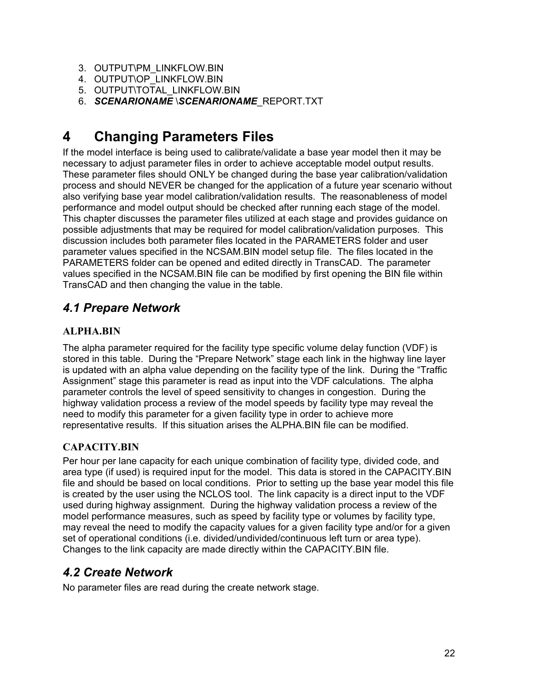- 3. OUTPUT\PM\_LINKFLOW.BIN
- 4. OUTPUT\OP\_LINKFLOW.BIN
- 5. OUTPUT\TOTAL\_LINKFLOW.BIN
- 6. *SCENARIONAME* \*SCENARIONAME*\_REPORT.TXT

# **4 Changing Parameters Files**

If the model interface is being used to calibrate/validate a base year model then it may be necessary to adjust parameter files in order to achieve acceptable model output results. These parameter files should ONLY be changed during the base year calibration/validation process and should NEVER be changed for the application of a future year scenario without also verifying base year model calibration/validation results. The reasonableness of model performance and model output should be checked after running each stage of the model. This chapter discusses the parameter files utilized at each stage and provides guidance on possible adjustments that may be required for model calibration/validation purposes. This discussion includes both parameter files located in the PARAMETERS folder and user parameter values specified in the NCSAM.BIN model setup file. The files located in the PARAMETERS folder can be opened and edited directly in TransCAD. The parameter values specified in the NCSAM.BIN file can be modified by first opening the BIN file within TransCAD and then changing the value in the table.

# *4.1 Prepare Network*

### **ALPHA.BIN**

The alpha parameter required for the facility type specific volume delay function (VDF) is stored in this table. During the "Prepare Network" stage each link in the highway line layer is updated with an alpha value depending on the facility type of the link. During the "Traffic Assignment" stage this parameter is read as input into the VDF calculations. The alpha parameter controls the level of speed sensitivity to changes in congestion. During the highway validation process a review of the model speeds by facility type may reveal the need to modify this parameter for a given facility type in order to achieve more representative results. If this situation arises the ALPHA.BIN file can be modified.

#### **CAPACITY.BIN**

Per hour per lane capacity for each unique combination of facility type, divided code, and area type (if used) is required input for the model. This data is stored in the CAPACITY.BIN file and should be based on local conditions. Prior to setting up the base year model this file is created by the user using the NCLOS tool. The link capacity is a direct input to the VDF used during highway assignment. During the highway validation process a review of the model performance measures, such as speed by facility type or volumes by facility type, may reveal the need to modify the capacity values for a given facility type and/or for a given set of operational conditions (i.e. divided/undivided/continuous left turn or area type). Changes to the link capacity are made directly within the CAPACITY.BIN file.

# *4.2 Create Network*

No parameter files are read during the create network stage.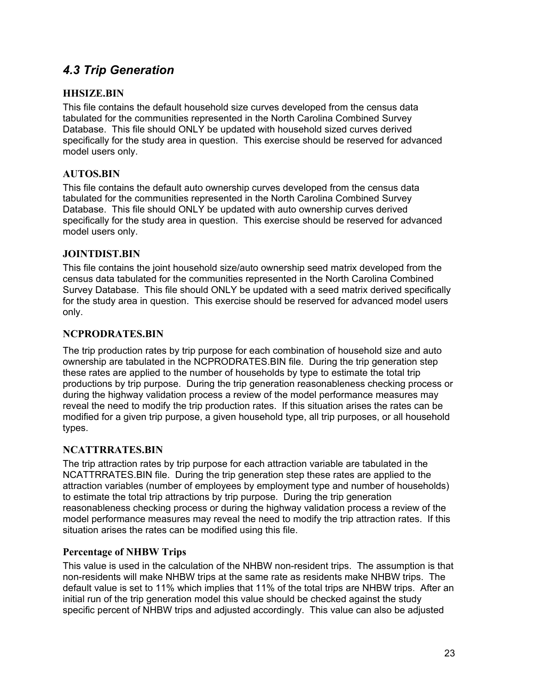# *4.3 Trip Generation*

#### **HHSIZE.BIN**

This file contains the default household size curves developed from the census data tabulated for the communities represented in the North Carolina Combined Survey Database. This file should ONLY be updated with household sized curves derived specifically for the study area in question. This exercise should be reserved for advanced model users only.

#### **AUTOS.BIN**

This file contains the default auto ownership curves developed from the census data tabulated for the communities represented in the North Carolina Combined Survey Database. This file should ONLY be updated with auto ownership curves derived specifically for the study area in question. This exercise should be reserved for advanced model users only.

#### **JOINTDIST.BIN**

This file contains the joint household size/auto ownership seed matrix developed from the census data tabulated for the communities represented in the North Carolina Combined Survey Database. This file should ONLY be updated with a seed matrix derived specifically for the study area in question. This exercise should be reserved for advanced model users only.

#### **NCPRODRATES.BIN**

The trip production rates by trip purpose for each combination of household size and auto ownership are tabulated in the NCPRODRATES.BIN file. During the trip generation step these rates are applied to the number of households by type to estimate the total trip productions by trip purpose. During the trip generation reasonableness checking process or during the highway validation process a review of the model performance measures may reveal the need to modify the trip production rates. If this situation arises the rates can be modified for a given trip purpose, a given household type, all trip purposes, or all household types.

#### **NCATTRRATES.BIN**

The trip attraction rates by trip purpose for each attraction variable are tabulated in the NCATTRRATES.BIN file. During the trip generation step these rates are applied to the attraction variables (number of employees by employment type and number of households) to estimate the total trip attractions by trip purpose. During the trip generation reasonableness checking process or during the highway validation process a review of the model performance measures may reveal the need to modify the trip attraction rates. If this situation arises the rates can be modified using this file.

#### **Percentage of NHBW Trips**

This value is used in the calculation of the NHBW non-resident trips. The assumption is that non-residents will make NHBW trips at the same rate as residents make NHBW trips. The default value is set to 11% which implies that 11% of the total trips are NHBW trips. After an initial run of the trip generation model this value should be checked against the study specific percent of NHBW trips and adjusted accordingly. This value can also be adjusted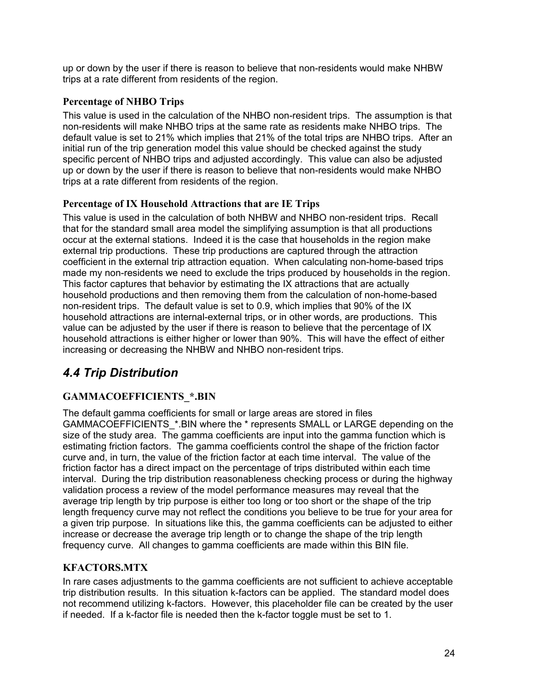up or down by the user if there is reason to believe that non-residents would make NHBW trips at a rate different from residents of the region.

#### **Percentage of NHBO Trips**

This value is used in the calculation of the NHBO non-resident trips. The assumption is that non-residents will make NHBO trips at the same rate as residents make NHBO trips. The default value is set to 21% which implies that 21% of the total trips are NHBO trips. After an initial run of the trip generation model this value should be checked against the study specific percent of NHBO trips and adjusted accordingly. This value can also be adjusted up or down by the user if there is reason to believe that non-residents would make NHBO trips at a rate different from residents of the region.

#### **Percentage of IX Household Attractions that are IE Trips**

This value is used in the calculation of both NHBW and NHBO non-resident trips. Recall that for the standard small area model the simplifying assumption is that all productions occur at the external stations. Indeed it is the case that households in the region make external trip productions. These trip productions are captured through the attraction coefficient in the external trip attraction equation. When calculating non-home-based trips made my non-residents we need to exclude the trips produced by households in the region. This factor captures that behavior by estimating the IX attractions that are actually household productions and then removing them from the calculation of non-home-based non-resident trips. The default value is set to 0.9, which implies that 90% of the IX household attractions are internal-external trips, or in other words, are productions. This value can be adjusted by the user if there is reason to believe that the percentage of IX household attractions is either higher or lower than 90%. This will have the effect of either increasing or decreasing the NHBW and NHBO non-resident trips.

# *4.4 Trip Distribution*

#### **GAMMACOEFFICIENTS\_\*.BIN**

The default gamma coefficients for small or large areas are stored in files GAMMACOEFFICIENTS\_\*.BIN where the \* represents SMALL or LARGE depending on the size of the study area. The gamma coefficients are input into the gamma function which is estimating friction factors. The gamma coefficients control the shape of the friction factor curve and, in turn, the value of the friction factor at each time interval. The value of the friction factor has a direct impact on the percentage of trips distributed within each time interval. During the trip distribution reasonableness checking process or during the highway validation process a review of the model performance measures may reveal that the average trip length by trip purpose is either too long or too short or the shape of the trip length frequency curve may not reflect the conditions you believe to be true for your area for a given trip purpose. In situations like this, the gamma coefficients can be adjusted to either increase or decrease the average trip length or to change the shape of the trip length frequency curve. All changes to gamma coefficients are made within this BIN file.

#### **KFACTORS.MTX**

In rare cases adjustments to the gamma coefficients are not sufficient to achieve acceptable trip distribution results. In this situation k-factors can be applied. The standard model does not recommend utilizing k-factors. However, this placeholder file can be created by the user if needed. If a k-factor file is needed then the k-factor toggle must be set to 1.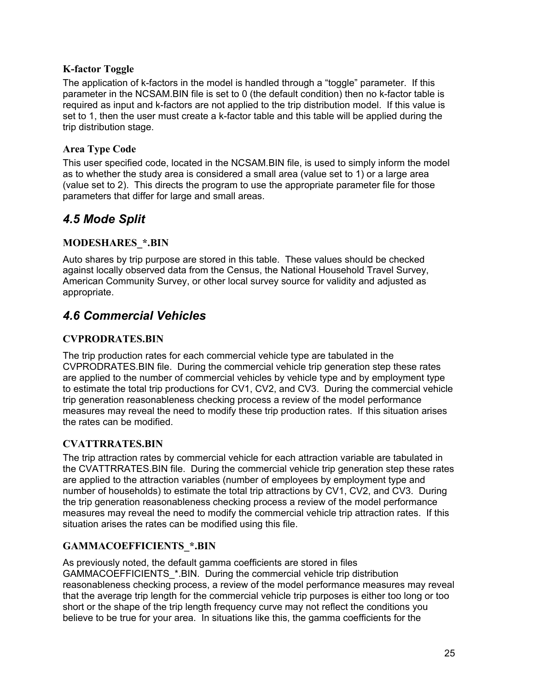#### **K-factor Toggle**

The application of k-factors in the model is handled through a "toggle" parameter. If this parameter in the NCSAM.BIN file is set to 0 (the default condition) then no k-factor table is required as input and k-factors are not applied to the trip distribution model. If this value is set to 1, then the user must create a k-factor table and this table will be applied during the trip distribution stage.

#### **Area Type Code**

This user specified code, located in the NCSAM.BIN file, is used to simply inform the model as to whether the study area is considered a small area (value set to 1) or a large area (value set to 2). This directs the program to use the appropriate parameter file for those parameters that differ for large and small areas.

# *4.5 Mode Split*

## **MODESHARES\_\*.BIN**

Auto shares by trip purpose are stored in this table. These values should be checked against locally observed data from the Census, the National Household Travel Survey, American Community Survey, or other local survey source for validity and adjusted as appropriate.

# *4.6 Commercial Vehicles*

### **CVPRODRATES.BIN**

The trip production rates for each commercial vehicle type are tabulated in the CVPRODRATES.BIN file. During the commercial vehicle trip generation step these rates are applied to the number of commercial vehicles by vehicle type and by employment type to estimate the total trip productions for CV1, CV2, and CV3. During the commercial vehicle trip generation reasonableness checking process a review of the model performance measures may reveal the need to modify these trip production rates. If this situation arises the rates can be modified.

### **CVATTRRATES.BIN**

The trip attraction rates by commercial vehicle for each attraction variable are tabulated in the CVATTRRATES.BIN file. During the commercial vehicle trip generation step these rates are applied to the attraction variables (number of employees by employment type and number of households) to estimate the total trip attractions by CV1, CV2, and CV3. During the trip generation reasonableness checking process a review of the model performance measures may reveal the need to modify the commercial vehicle trip attraction rates. If this situation arises the rates can be modified using this file.

### **GAMMACOEFFICIENTS\_\*.BIN**

As previously noted, the default gamma coefficients are stored in files GAMMACOEFFICIENTS\_\*.BIN. During the commercial vehicle trip distribution reasonableness checking process, a review of the model performance measures may reveal that the average trip length for the commercial vehicle trip purposes is either too long or too short or the shape of the trip length frequency curve may not reflect the conditions you believe to be true for your area. In situations like this, the gamma coefficients for the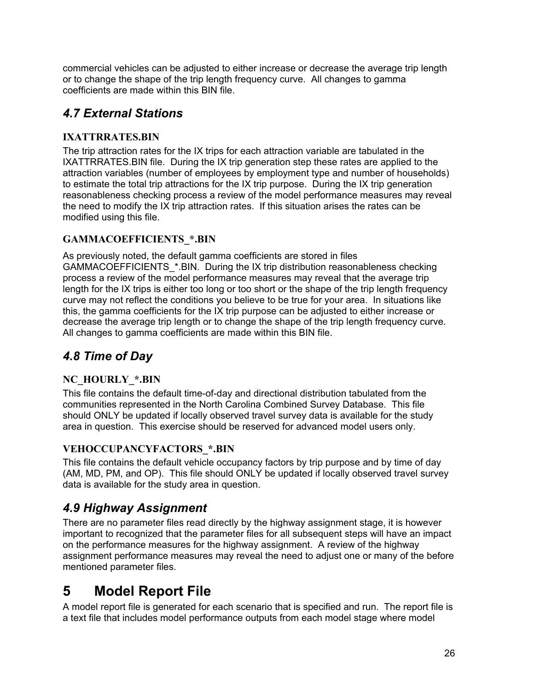commercial vehicles can be adjusted to either increase or decrease the average trip length or to change the shape of the trip length frequency curve. All changes to gamma coefficients are made within this BIN file.

# *4.7 External Stations*

## **IXATTRRATES.BIN**

The trip attraction rates for the IX trips for each attraction variable are tabulated in the IXATTRRATES.BIN file. During the IX trip generation step these rates are applied to the attraction variables (number of employees by employment type and number of households) to estimate the total trip attractions for the IX trip purpose. During the IX trip generation reasonableness checking process a review of the model performance measures may reveal the need to modify the IX trip attraction rates. If this situation arises the rates can be modified using this file.

## **GAMMACOEFFICIENTS\_\*.BIN**

As previously noted, the default gamma coefficients are stored in files GAMMACOEFFICIENTS \*.BIN. During the IX trip distribution reasonableness checking process a review of the model performance measures may reveal that the average trip length for the IX trips is either too long or too short or the shape of the trip length frequency curve may not reflect the conditions you believe to be true for your area. In situations like this, the gamma coefficients for the IX trip purpose can be adjusted to either increase or decrease the average trip length or to change the shape of the trip length frequency curve. All changes to gamma coefficients are made within this BIN file.

# *4.8 Time of Day*

## **NC\_HOURLY\_\*.BIN**

This file contains the default time-of-day and directional distribution tabulated from the communities represented in the North Carolina Combined Survey Database. This file should ONLY be updated if locally observed travel survey data is available for the study area in question. This exercise should be reserved for advanced model users only.

### **VEHOCCUPANCYFACTORS\_\*.BIN**

This file contains the default vehicle occupancy factors by trip purpose and by time of day (AM, MD, PM, and OP). This file should ONLY be updated if locally observed travel survey data is available for the study area in question.

# *4.9 Highway Assignment*

There are no parameter files read directly by the highway assignment stage, it is however important to recognized that the parameter files for all subsequent steps will have an impact on the performance measures for the highway assignment. A review of the highway assignment performance measures may reveal the need to adjust one or many of the before mentioned parameter files.

# **5 Model Report File**

A model report file is generated for each scenario that is specified and run. The report file is a text file that includes model performance outputs from each model stage where model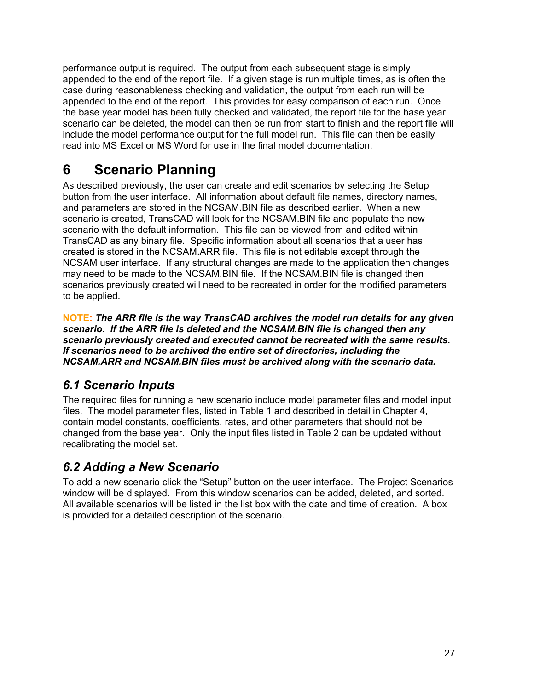performance output is required. The output from each subsequent stage is simply appended to the end of the report file. If a given stage is run multiple times, as is often the case during reasonableness checking and validation, the output from each run will be appended to the end of the report. This provides for easy comparison of each run. Once the base year model has been fully checked and validated, the report file for the base year scenario can be deleted, the model can then be run from start to finish and the report file will include the model performance output for the full model run. This file can then be easily read into MS Excel or MS Word for use in the final model documentation.

# **6 Scenario Planning**

As described previously, the user can create and edit scenarios by selecting the Setup button from the user interface. All information about default file names, directory names, and parameters are stored in the NCSAM.BIN file as described earlier. When a new scenario is created, TransCAD will look for the NCSAM.BIN file and populate the new scenario with the default information. This file can be viewed from and edited within TransCAD as any binary file. Specific information about all scenarios that a user has created is stored in the NCSAM.ARR file. This file is not editable except through the NCSAM user interface. If any structural changes are made to the application then changes may need to be made to the NCSAM.BIN file. If the NCSAM.BIN file is changed then scenarios previously created will need to be recreated in order for the modified parameters to be applied.

**NOTE:** *The ARR file is the way TransCAD archives the model run details for any given scenario. If the ARR file is deleted and the NCSAM.BIN file is changed then any scenario previously created and executed cannot be recreated with the same results. If scenarios need to be archived the entire set of directories, including the NCSAM.ARR and NCSAM.BIN files must be archived along with the scenario data.* 

# *6.1 Scenario Inputs*

The required files for running a new scenario include model parameter files and model input files. The model parameter files, listed in Table 1 and described in detail in Chapter 4, contain model constants, coefficients, rates, and other parameters that should not be changed from the base year. Only the input files listed in Table 2 can be updated without recalibrating the model set.

# *6.2 Adding a New Scenario*

To add a new scenario click the "Setup" button on the user interface. The Project Scenarios window will be displayed. From this window scenarios can be added, deleted, and sorted. All available scenarios will be listed in the list box with the date and time of creation. A box is provided for a detailed description of the scenario.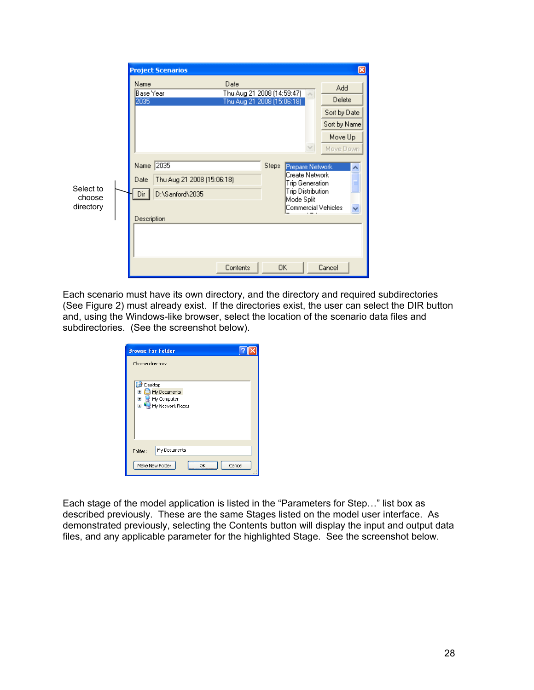|                                  | ⊠<br><b>Project Scenarios</b>                                                                                                                                                                                                        |
|----------------------------------|--------------------------------------------------------------------------------------------------------------------------------------------------------------------------------------------------------------------------------------|
|                                  | Date<br>Name<br>Add<br>Thu Aug 21 2008 (14:59:47)<br>Base Year<br>Delete<br>Thu Aug 21 2008 (15:06:18)<br>2035<br>Sort by Date<br>Sort by Name<br>Move Up<br>Move Down                                                               |
| Select to<br>choose<br>directory | 2035<br>Name<br><b>Steps</b><br>Prepare Network<br>Create Network<br>Thu Aug 21 2008 (15:06:18)<br>Date<br>Trip Generation<br><b>Trip Distribution</b><br>Dir<br>D:\Sanford\2035<br>Mode Split<br>Commercial Vehicles<br>Description |
|                                  | 0K<br>Contents<br>Cancel                                                                                                                                                                                                             |

Each scenario must have its own directory, and the directory and required subdirectories (See Figure 2) must already exist. If the directories exist, the user can select the DIR button and, using the Windows-like browser, select the location of the scenario data files and subdirectories. (See the screenshot below).

| <b>Browse For Folder</b>                                                                                  |  |
|-----------------------------------------------------------------------------------------------------------|--|
| Choose directory                                                                                          |  |
| Desktop<br>œ<br>My Documents<br>$\overline{+}$<br>Ŧ<br>My Computer<br>My Network Places<br>$\blacksquare$ |  |
| My Documents<br>Folder:<br>Make New Folder<br>Cancel<br>nĸ                                                |  |

Each stage of the model application is listed in the "Parameters for Step…" list box as described previously. These are the same Stages listed on the model user interface. As demonstrated previously, selecting the Contents button will display the input and output data files, and any applicable parameter for the highlighted Stage. See the screenshot below.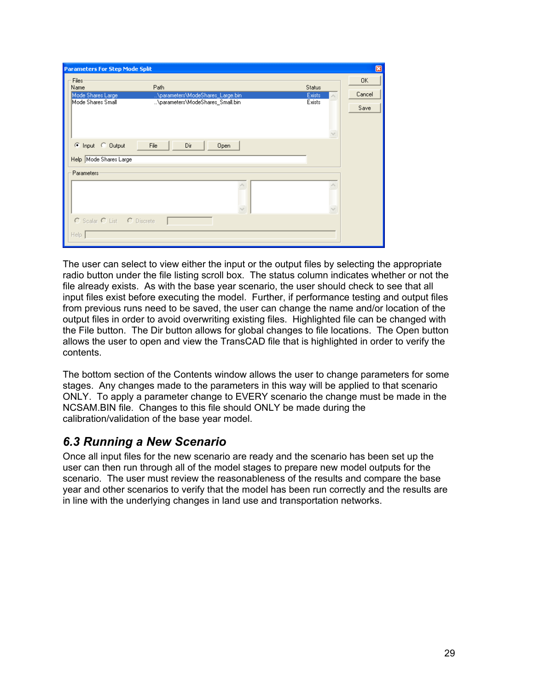| <b>Parameters For Step Mode Split</b>                             |                                                                      |        | ⊠  |  |  |  |
|-------------------------------------------------------------------|----------------------------------------------------------------------|--------|----|--|--|--|
| Files                                                             | Path                                                                 |        | 0K |  |  |  |
| Name<br>Mode Shares Large                                         | Status<br>Exists                                                     | Cancel |    |  |  |  |
| Mode Shares Small                                                 | \parameters\ModeShares_Large.bin<br>\parameters\ModeShares_Small.bin |        |    |  |  |  |
|                                                                   | <b>Exists</b>                                                        |        |    |  |  |  |
| File<br>C Input C Output<br>Dir<br>Open<br>Help Mode Shares Large |                                                                      |        |    |  |  |  |
| Parameters                                                        |                                                                      |        |    |  |  |  |
|                                                                   |                                                                      |        |    |  |  |  |
|                                                                   |                                                                      |        |    |  |  |  |
| C Scalar C List C Discrete                                        |                                                                      |        |    |  |  |  |
| Help.                                                             |                                                                      |        |    |  |  |  |

The user can select to view either the input or the output files by selecting the appropriate radio button under the file listing scroll box. The status column indicates whether or not the file already exists. As with the base year scenario, the user should check to see that all input files exist before executing the model. Further, if performance testing and output files from previous runs need to be saved, the user can change the name and/or location of the output files in order to avoid overwriting existing files. Highlighted file can be changed with the File button. The Dir button allows for global changes to file locations. The Open button allows the user to open and view the TransCAD file that is highlighted in order to verify the contents.

The bottom section of the Contents window allows the user to change parameters for some stages. Any changes made to the parameters in this way will be applied to that scenario ONLY. To apply a parameter change to EVERY scenario the change must be made in the NCSAM.BIN file. Changes to this file should ONLY be made during the calibration/validation of the base year model.

# *6.3 Running a New Scenario*

Once all input files for the new scenario are ready and the scenario has been set up the user can then run through all of the model stages to prepare new model outputs for the scenario. The user must review the reasonableness of the results and compare the base year and other scenarios to verify that the model has been run correctly and the results are in line with the underlying changes in land use and transportation networks.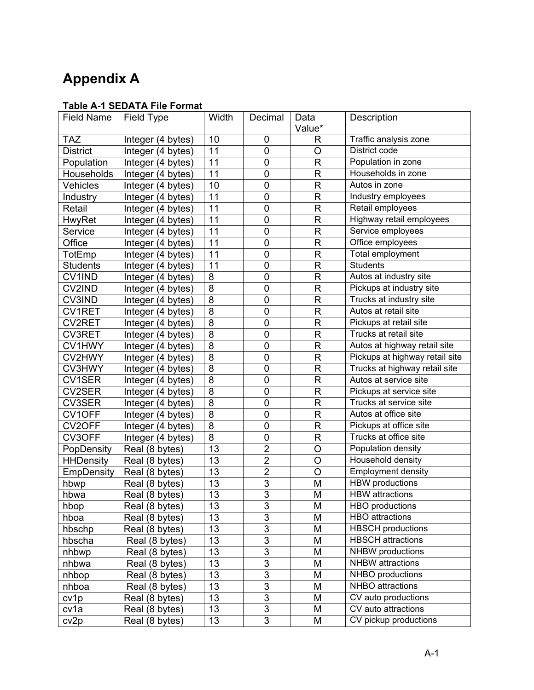# **Appendix A**

## **Table A-1 SEDATA File Format**

| <b>Field Name</b> | <b>Field Type</b> | Width           | Decimal                  | Data                    | Description                    |
|-------------------|-------------------|-----------------|--------------------------|-------------------------|--------------------------------|
|                   |                   |                 |                          | Value*                  |                                |
| <b>TAZ</b>        | Integer (4 bytes) | 10              | 0                        | R                       | Traffic analysis zone          |
| <b>District</b>   | Integer (4 bytes) | 11              | $\overline{0}$           | O                       | District code                  |
| Population        | Integer (4 bytes) | 11              | $\mathbf 0$              | R                       | Population in zone             |
| Households        | Integer (4 bytes) | 11              | $\mathbf 0$              | $\mathsf R$             | Households in zone             |
| Vehicles          | Integer (4 bytes) | 10              | $\mathbf 0$              | $\mathsf R$             | Autos in zone                  |
| Industry          | Integer (4 bytes) | 11              | $\mathbf 0$              | $\mathsf{R}$            | Industry employees             |
| Retail            | Integer (4 bytes) | 11              | $\mathbf 0$              | $\mathsf R$             | Retail employees               |
| HwyRet            | Integer (4 bytes) | 11              | $\mathbf 0$              | R                       | Highway retail employees       |
| Service           | Integer (4 bytes) | 11              | $\mathbf 0$              | $\mathsf R$             | Service employees              |
| Office            | Integer (4 bytes) | 11              | $\mathbf 0$              | $\mathsf R$             | Office employees               |
| TotEmp            | Integer (4 bytes) | $\overline{11}$ | $\mathbf 0$              | $\mathsf R$             | Total employment               |
| <b>Students</b>   | Integer (4 bytes) | 11              | $\mathbf 0$              | $\mathsf R$             | <b>Students</b>                |
| CV1IND            | Integer (4 bytes) | 8               | $\mathbf 0$              | R                       | Autos at industry site         |
| CV2IND            | Integer (4 bytes) | 8               | $\mathbf 0$              | $\mathsf R$             | Pickups at industry site       |
| <b>CV3IND</b>     | Integer (4 bytes) | $\overline{8}$  | $\mathbf 0$              | $\mathsf{R}$            | Trucks at industry site        |
| <b>CV1RET</b>     | Integer (4 bytes) | 8               | $\mathbf 0$              | $\mathsf{R}$            | Autos at retail site           |
| <b>CV2RET</b>     | Integer (4 bytes) | $\overline{8}$  | $\mathbf 0$              | $\overline{\mathsf{R}}$ | Pickups at retail site         |
| <b>CV3RET</b>     | Integer (4 bytes) | 8               | $\mathbf 0$              | $\mathsf R$             | Trucks at retail site          |
| CV1HWY            | Integer (4 bytes) | $\overline{8}$  | $\mathbf 0$              | $\mathsf R$             | Autos at highway retail site   |
| CV2HWY            | Integer (4 bytes) | 8               | $\mathbf 0$              | $\mathsf R$             | Pickups at highway retail site |
| CV3HWY            | Integer (4 bytes) | 8               | $\mathbf 0$              | $\mathsf R$             | Trucks at highway retail site  |
| <b>CV1SER</b>     | Integer (4 bytes) | 8               | $\mathbf 0$              | $\mathsf R$             | Autos at service site          |
| CV2SER            | Integer (4 bytes) | $\overline{8}$  | $\mathbf 0$              | $\mathsf R$             | Pickups at service site        |
| <b>CV3SER</b>     | Integer (4 bytes) | 8               | $\boldsymbol{0}$         | R                       | Trucks at service site         |
| CV1OFF            | Integer (4 bytes) | $\overline{8}$  | $\mathbf 0$              | $\mathsf R$             | Autos at office site           |
| CV2OFF            | Integer (4 bytes) | $\overline{8}$  | $\overline{0}$           | $\overline{R}$          | Pickups at office site         |
| CV3OFF            | Integer (4 bytes) | $\overline{8}$  | $\mathbf 0$              | $\mathsf R$             | Trucks at office site          |
| PopDensity        | Real (8 bytes)    | $\overline{13}$ | $\overline{2}$           | $\circ$                 | Population density             |
| <b>HHDensity</b>  | Real (8 bytes)    | 13              | $\overline{2}$           | $\overline{O}$          | Household density              |
| EmpDensity        | Real (8 bytes)    | 13              | $\overline{2}$           | $\overline{O}$          | <b>Employment density</b>      |
| hbwp              | Real (8 bytes)    | 13              | $\overline{3}$           | M                       | <b>HBW</b> productions         |
| hbwa              | Real (8 bytes)    | 13              | $\overline{3}$           | M                       | <b>HBW</b> attractions         |
| hbop              | Real (8 bytes)    | 13              | $\mathsf 3$              | M                       | HBO productions                |
| hboa              | Real (8 bytes)    | 13              | $\overline{3}$           | M                       | <b>HBO</b> attractions         |
| hbschp            | Real (8 bytes)    | 13              | $\overline{3}$           | M                       | <b>HBSCH</b> productions       |
| hbscha            | Real (8 bytes)    | 13              | $\overline{3}$           | M                       | <b>HBSCH</b> attractions       |
| nhbwp             | Real (8 bytes)    | 13              | $\overline{3}$           | M                       | NHBW productions               |
| nhbwa             | Real (8 bytes)    | 13              | $\overline{3}$           | M                       | <b>NHBW</b> attractions        |
| nhbop             | Real (8 bytes)    | 13              | $\overline{3}$           | M                       | NHBO productions               |
| nhboa             | Real (8 bytes)    | 13              | $\overline{3}$           | M                       | NHBO attractions               |
| cv1p              | Real (8 bytes)    | 13              | $\overline{3}$           | M                       | CV auto productions            |
| cv1a              | Real (8 bytes)    | 13              | $\overline{\mathcal{E}}$ | M                       | CV auto attractions            |
| cv <sub>2p</sub>  | Real (8 bytes)    | 13              | $\overline{3}$           | M                       | CV pickup productions          |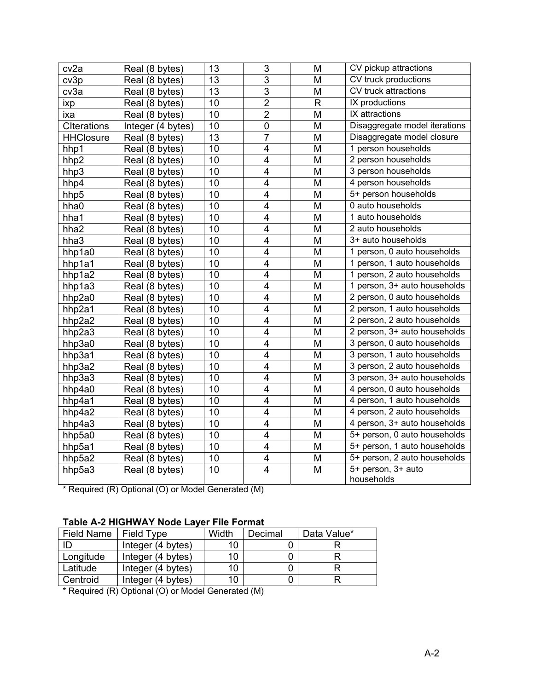| cv <sub>2a</sub>   | Real (8 bytes)    | 13 | $\overline{3}$          | M            | CV pickup attractions         |
|--------------------|-------------------|----|-------------------------|--------------|-------------------------------|
| cv3p               | Real (8 bytes)    | 13 | $\overline{3}$          | M            | CV truck productions          |
| cv3a               | Real (8 bytes)    | 13 | $\overline{3}$          | M            | CV truck attractions          |
| ixp                | Real (8 bytes)    | 10 | $\overline{2}$          | $\mathsf{R}$ | IX productions                |
| ixa                | Real (8 bytes)    | 10 | $\overline{2}$          | M            | IX attractions                |
| <b>CIterations</b> | Integer (4 bytes) | 10 | $\pmb{0}$               | M            | Disaggregate model iterations |
| <b>HHClosure</b>   | Real (8 bytes)    | 13 | $\overline{7}$          | M            | Disaggregate model closure    |
| hhp1               | Real (8 bytes)    | 10 | $\overline{\mathbf{4}}$ | M            | 1 person households           |
| hhp2               | Real (8 bytes)    | 10 | $\overline{\mathbf{4}}$ | M            | 2 person households           |
| hhp3               | Real (8 bytes)    | 10 | $\overline{\mathbf{4}}$ | M            | 3 person households           |
| hhp4               | Real (8 bytes)    | 10 | 4                       | M            | 4 person households           |
| hhp5               | Real (8 bytes)    | 10 | 4                       | M            | 5+ person households          |
| hha0               | Real (8 bytes)    | 10 | 4                       | M            | 0 auto households             |
| hha1               | Real (8 bytes)    | 10 | $\overline{\mathbf{4}}$ | M            | 1 auto households             |
| hha2               | Real (8 bytes)    | 10 | 4                       | M            | 2 auto households             |
| hha3               | Real (8 bytes)    | 10 | $\overline{\mathbf{4}}$ | M            | 3+ auto households            |
| hhp1a0             | Real (8 bytes)    | 10 | $\overline{\mathbf{4}}$ | M            | 1 person, 0 auto households   |
| hhp1a1             | Real (8 bytes)    | 10 | $\overline{\mathbf{4}}$ | M            | 1 person, 1 auto households   |
| hhp1a2             | Real (8 bytes)    | 10 | $\overline{\mathbf{4}}$ | M            | 1 person, 2 auto households   |
| hhp1a3             | Real (8 bytes)    | 10 | $\overline{\mathbf{4}}$ | M            | 1 person, 3+ auto households  |
| hhp2a0             | Real (8 bytes)    | 10 | $\overline{4}$          | M            | 2 person, 0 auto households   |
| hhp2a1             | Real (8 bytes)    | 10 | $\overline{\mathbf{4}}$ | M            | 2 person, 1 auto households   |
| hhp2a2             | Real (8 bytes)    | 10 | $\overline{\mathbf{4}}$ | M            | 2 person, 2 auto households   |
| hhp2a3             | Real (8 bytes)    | 10 | $\overline{4}$          | M            | 2 person, 3+ auto households  |
| hhp3a0             | Real (8 bytes)    | 10 | $\overline{\mathbf{4}}$ | M            | 3 person, 0 auto households   |
| hhp3a1             | Real (8 bytes)    | 10 | $\overline{\mathbf{4}}$ | M            | 3 person, 1 auto households   |
| hhp3a2             | Real (8 bytes)    | 10 | $\overline{4}$          | M            | 3 person, 2 auto households   |
| hhp3a3             | Real (8 bytes)    | 10 | $\overline{\mathbf{4}}$ | M            | 3 person, 3+ auto households  |
| hhp4a0             | Real (8 bytes)    | 10 | $\overline{\mathbf{4}}$ | M            | 4 person, 0 auto households   |
| hhp4a1             | Real (8 bytes)    | 10 | $\overline{4}$          | M            | 4 person, 1 auto households   |
| hhp4a2             | Real (8 bytes)    | 10 | $\overline{\mathbf{4}}$ | M            | 4 person, 2 auto households   |
| hhp4a3             | Real (8 bytes)    | 10 | $\overline{\mathbf{4}}$ | M            | 4 person, 3+ auto households  |
| hhp5a0             | Real (8 bytes)    | 10 | $\overline{\mathbf{4}}$ | M            | 5+ person, 0 auto households  |
| hhp5a1             | Real (8 bytes)    | 10 | $\overline{4}$          | M            | 5+ person, 1 auto households  |
| hhp5a2             | Real (8 bytes)    | 10 | $\overline{\mathbf{4}}$ | M            | 5+ person, 2 auto households  |
| hhp5a3             | Real (8 bytes)    | 10 | $\overline{\mathbf{4}}$ | M            | 5+ person, 3+ auto            |
|                    |                   |    |                         |              | households                    |

\* Required (R) Optional (O) or Model Generated (M)

#### **Table A-2 HIGHWAY Node Layer File Format**

| <b>Field Name</b> | Field Type        | Width | Decimal | Data Value* |
|-------------------|-------------------|-------|---------|-------------|
| ID                | Integer (4 bytes) | 10    |         |             |
| Longitude         | Integer (4 bytes) | 10    |         |             |
| Latitude          | Integer (4 bytes) | 10    |         |             |
| Centroid          | Integer (4 bytes) | 10    |         |             |

\* Required (R) Optional (O) or Model Generated (M)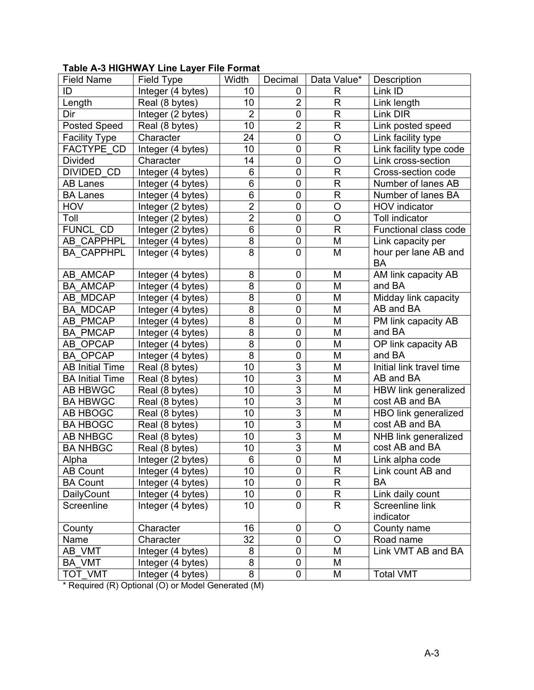#### **Table A-3 HIGHWAY Line Layer File Format**

| <b>Field Name</b>      | Field Type        | Width          | Decimal        | Data Value*  | Description              |
|------------------------|-------------------|----------------|----------------|--------------|--------------------------|
| ID                     | Integer (4 bytes) | 10             | 0              | R            | Link ID                  |
| Length                 | Real (8 bytes)    | 10             | $\overline{2}$ | R            | Link length              |
| Dir                    | Integer (2 bytes) | $\overline{2}$ | 0              | R            | Link DIR                 |
| <b>Posted Speed</b>    | Real (8 bytes)    | 10             | $\overline{c}$ | $\mathsf{R}$ | Link posted speed        |
| <b>Facility Type</b>   | Character         | 24             | 0              | $\circ$      | Link facility type       |
| FACTYPE CD             | Integer (4 bytes) | 10             | 0              | $\mathsf{R}$ | Link facility type code  |
| <b>Divided</b>         | Character         | 14             | 0              | $\circ$      | Link cross-section       |
| <b>DIVIDED CD</b>      | Integer (4 bytes) | 6              | $\mathbf 0$    | $\mathsf{R}$ | Cross-section code       |
| <b>AB Lanes</b>        | Integer (4 bytes) | 6              | 0              | $\mathsf{R}$ | Number of lanes AB       |
| <b>BA Lanes</b>        | Integer (4 bytes) | 6              | 0              | $\mathsf{R}$ | Number of lanes BA       |
| <b>HOV</b>             | Integer (2 bytes) | $\overline{2}$ | 0              | $\circ$      | <b>HOV</b> indicator     |
| Toll                   | Integer (2 bytes) | $\overline{2}$ | 0              | $\circ$      | <b>Toll indicator</b>    |
| FUNCL CD               | Integer (2 bytes) | 6              | $\mathbf 0$    | $\mathsf{R}$ | Functional class code    |
| AB CAPPHPL             | Integer (4 bytes) | $\overline{8}$ | 0              | M            | Link capacity per        |
| <b>BA CAPPHPL</b>      | Integer (4 bytes) | 8              | 0              | M            | hour per lane AB and     |
|                        |                   |                |                |              | <b>BA</b>                |
| AB AMCAP               | Integer (4 bytes) | 8              | 0              | M            | AM link capacity AB      |
| <b>BA AMCAP</b>        | Integer (4 bytes) | 8              | 0              | M            | and BA                   |
| AB MDCAP               | Integer (4 bytes) | 8              | 0              | M            | Midday link capacity     |
| <b>BA MDCAP</b>        | Integer (4 bytes) | 8              | 0              | M            | AB and BA                |
| AB PMCAP               | Integer (4 bytes) | 8              | 0              | M            | PM link capacity AB      |
| <b>BA PMCAP</b>        | Integer (4 bytes) | 8              | 0              | M            | and BA                   |
| AB OPCAP               | Integer (4 bytes) | 8              | 0              | M            | OP link capacity AB      |
| <b>BA OPCAP</b>        | Integer (4 bytes) | 8              | 0              | M            | and BA                   |
| <b>AB Initial Time</b> | Real (8 bytes)    | 10             | 3              | M            | Initial link travel time |
| <b>BA Initial Time</b> | Real (8 bytes)    | 10             | $\overline{3}$ | M            | AB and BA                |
| AB HBWGC               | Real (8 bytes)    | 10             | $\overline{3}$ | M            | HBW link generalized     |
| <b>BA HBWGC</b>        | Real (8 bytes)    | 10             | 3              | M            | cost AB and BA           |
| AB HBOGC               | Real (8 bytes)    | 10             | $\overline{3}$ | M            | HBO link generalized     |
| <b>BA HBOGC</b>        | Real (8 bytes)    | 10             | 3              | M            | cost AB and BA           |
| <b>AB NHBGC</b>        | Real (8 bytes)    | 10             | 3              | M            | NHB link generalized     |
| <b>BA NHBGC</b>        | Real (8 bytes)    | 10             | 3              | M            | cost AB and BA           |
| Alpha                  | Integer (2 bytes) | $6\phantom{1}$ | $\overline{0}$ | M            | Link alpha code          |
| <b>AB Count</b>        | Integer (4 bytes) | 10             | 0              | R            | Link count AB and        |
| <b>BA Count</b>        | Integer (4 bytes) | 10             | 0              | R            | BA                       |
| DailyCount             | Integer (4 bytes) | 10             | 0              | R            | Link daily count         |
| Screenline             | Integer (4 bytes) | 10             | 0              | R            | Screenline link          |
|                        |                   |                |                |              | indicator                |
| County                 | Character         | 16             | 0              | $\circ$      | County name              |
| Name                   | Character         | 32             | $\pmb{0}$      | $\circ$      | Road name                |
| AB VMT                 | Integer (4 bytes) | 8              | 0              | M            | Link VMT AB and BA       |
| <b>BA VMT</b>          | Integer (4 bytes) | 8              | 0              | M            |                          |
| TOT VMT                | Integer (4 bytes) | 8              | 0              | M            | <b>Total VMT</b>         |

\* Required (R) Optional (O) or Model Generated (M)